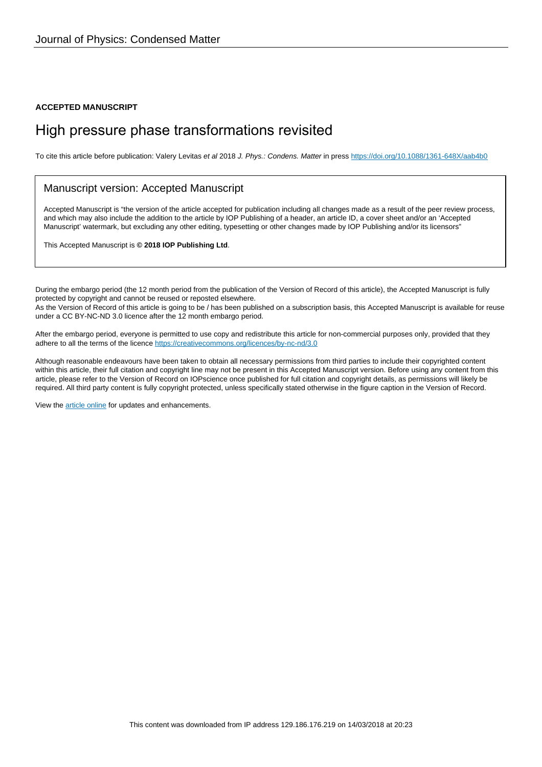#### **ACCEPTED MANUSCRIPT**

# High pressure phase transformations revisited

To cite this article before publication: Valery Levitas et al 2018 J. Phys.: Condens. Matter in press <https://doi.org/10.1088/1361-648X/aab4b0>

#### Manuscript version: Accepted Manuscript

Accepted Manuscript is "the version of the article accepted for publication including all changes made as a result of the peer review process, and which may also include the addition to the article by IOP Publishing of a header, an article ID, a cover sheet and/or an 'Accepted Manuscript' watermark, but excluding any other editing, typesetting or other changes made by IOP Publishing and/or its licensors"

This Accepted Manuscript is **© 2018 IOP Publishing Ltd**.

During the embargo period (the 12 month period from the publication of the Version of Record of this article), the Accepted Manuscript is fully protected by copyright and cannot be reused or reposted elsewhere. As the Version of Record of this article is going to be / has been published on a subscription basis, this Accepted Manuscript is available for reuse under a CC BY-NC-ND 3.0 licence after the 12 month embargo period.

After the embargo period, everyone is permitted to use copy and redistribute this article for non-commercial purposes only, provided that they adhere to all the terms of the licence <https://creativecommons.org/licences/by-nc-nd/3.0>

Although reasonable endeavours have been taken to obtain all necessary permissions from third parties to include their copyrighted content within this article, their full citation and copyright line may not be present in this Accepted Manuscript version. Before using any content from this article, please refer to the Version of Record on IOPscience once published for full citation and copyright details, as permissions will likely be required. All third party content is fully copyright protected, unless specifically stated otherwise in the figure caption in the Version of Record.

View the [article online](https://doi.org/10.1088/1361-648X/aab4b0) for updates and enhancements.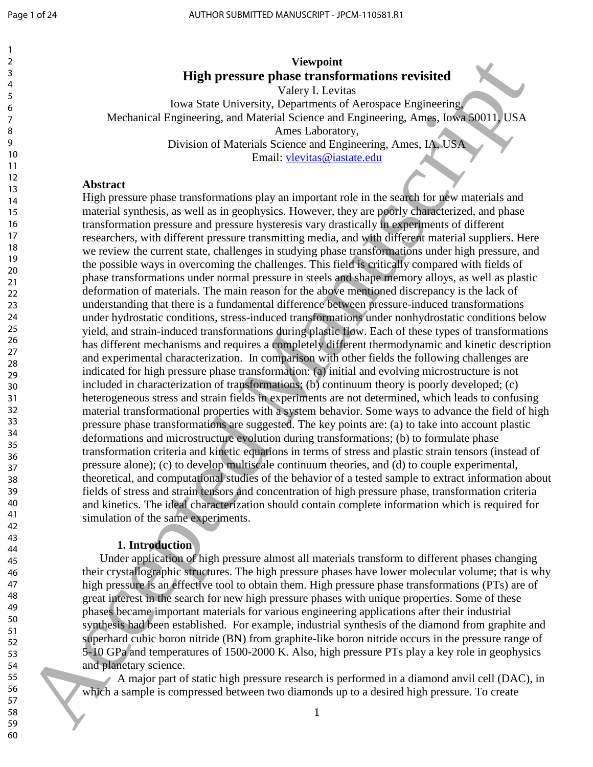| $\overline{c}$      |
|---------------------|
| 3                   |
| 4                   |
| 5                   |
| 6                   |
|                     |
| 8                   |
| 9                   |
|                     |
| 10                  |
| 1<br>1              |
| 1<br>$\overline{c}$ |
| $\overline{13}$     |
| $\overline{14}$     |
| 15                  |
| 16                  |
| 17                  |
|                     |
| 18                  |
| 19                  |
| 20                  |
| $\overline{21}$     |
| $^{22}$             |
| 23                  |
| 24                  |
| 25                  |
|                     |
| 26                  |
| 27                  |
| 28                  |
| 29                  |
| 30                  |
| 31                  |
| $\overline{32}$     |
|                     |
| 33                  |
| 34                  |
| 35                  |
| 36                  |
| 37                  |
| 38                  |
| 39                  |
| 40                  |
|                     |
| 41                  |
| $\overline{4}$<br>2 |
| 43                  |
| 44                  |
| 45                  |
| 46                  |
| 47                  |
| 48                  |
|                     |
| 49                  |
| 50                  |
| 51                  |
| 52                  |
| 5:<br>ξ             |
| 54                  |
| 55                  |
| 56                  |
|                     |
| 57                  |
| 58                  |
| 59                  |
| 60                  |
|                     |

## **Viewpoint High pressure phase transformations revisited**

Valery I. Levitas Iowa State University, Departments of Aerospace Engineering, Mechanical Engineering, and Material Science and Engineering, Ames, Iowa 50011, USA Ames Laboratory, Division of Materials Science and Engineering, Ames, IA, USA

Email: vlevitas@iastate.edu

### **Abstract**

High pressure phase transformations play an important role in the search for new materials and material synthesis, as well as in geophysics. However, they are poorly characterized, and phase transformation pressure and pressure hysteresis vary drastically in experiments of different researchers, with different pressure transmitting media, and with different material suppliers. Here we review the current state, challenges in studying phase transformations under high pressure, and the possible ways in overcoming the challenges. This field is critically compared with fields of phase transformations under normal pressure in steels and shape memory alloys, as well as plastic deformation of materials. The main reason for the above mentioned discrepancy is the lack of understanding that there is a fundamental difference between pressure-induced transformations under hydrostatic conditions, stress-induced transformations under nonhydrostatic conditions below yield, and strain-induced transformations during plastic flow. Each of these types of transformations has different mechanisms and requires a completely different thermodynamic and kinetic description and experimental characterization. In comparison with other fields the following challenges are indicated for high pressure phase transformation: (a) initial and evolving microstructure is not included in characterization of transformations; (b) continuum theory is poorly developed; (c) heterogeneous stress and strain fields in experiments are not determined, which leads to confusing material transformational properties with a system behavior. Some ways to advance the field of high pressure phase transformations are suggested. The key points are: (a) to take into account plastic deformations and microstructure evolution during transformations; (b) to formulate phase transformation criteria and kinetic equations in terms of stress and plastic strain tensors (instead of pressure alone); (c) to develop multiscale continuum theories, and (d) to couple experimental, theoretical, and computational studies of the behavior of a tested sample to extract information about fields of stress and strain tensors and concentration of high pressure phase, transformation criteria and kinetics. The ideal characterization should contain complete information which is required for simulation of the same experiments. **Example 18 Constrainer (11)**<br>
19 Constraine Theorem Theorem (11) Constrainer Constrainer Constrainer Constrainer (11)<br>
19 State Manuscript Constrainer Constrainer Constrainer Constrainer (11)<br>
19 State Manuscript Constra

### **1. Introduction**

Under application of high pressure almost all materials transform to different phases changing their crystallographic structures. The high pressure phases have lower molecular volume; that is why high pressure is an effective tool to obtain them. High pressure phase transformations (PTs) are of great interest in the search for new high pressure phases with unique properties. Some of these phases became important materials for various engineering applications after their industrial synthesis had been established. For example, industrial synthesis of the diamond from graphite and superhard cubic boron nitride (BN) from graphite-like boron nitride occurs in the pressure range of 5-10 GPa and temperatures of 1500-2000 K. Also, high pressure PTs play a key role in geophysics and planetary science.

A major part of static high pressure research is performed in a diamond anvil cell (DAC), in which a sample is compressed between two diamonds up to a desired high pressure. To create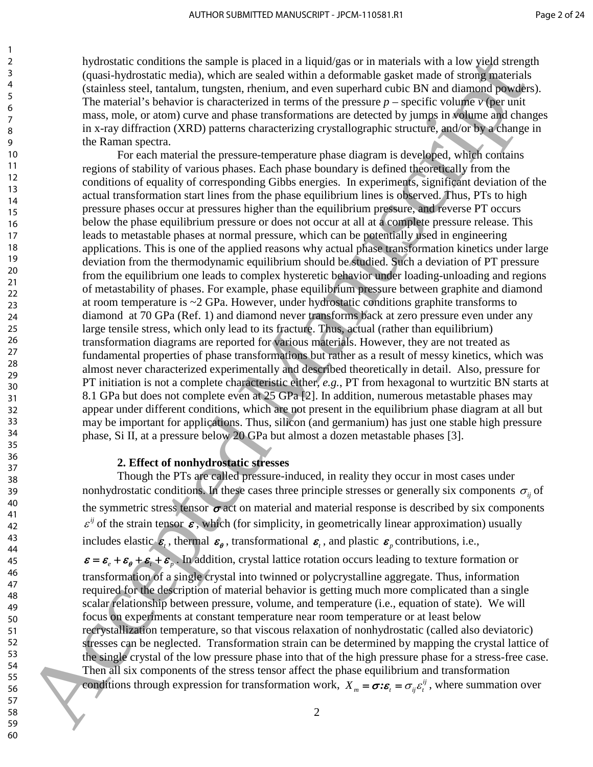hydrostatic conditions the sample is placed in a liquid/gas or in materials with a low yield strength (quasi-hydrostatic media), which are sealed within a deformable gasket made of strong materials (stainless steel, tantalum, tungsten, rhenium, and even superhard cubic BN and diamond powders). The material's behavior is characterized in terms of the pressure  $p$  – specific volume  $\nu$  (per unit mass, mole, or atom) curve and phase transformations are detected by jumps in volume and changes in x-ray diffraction (XRD) patterns characterizing crystallographic structure, and/or by a change in the Raman spectra.

For each material the pressure-temperature phase diagram is developed, which contains regions of stability of various phases. Each phase boundary is defined theoretically from the conditions of equality of corresponding Gibbs energies. In experiments, significant deviation of the actual transformation start lines from the phase equilibrium lines is observed. Thus, PTs to high pressure phases occur at pressures higher than the equilibrium pressure, and reverse PT occurs below the phase equilibrium pressure or does not occur at all at a complete pressure release. This leads to metastable phases at normal pressure, which can be potentially used in engineering applications. This is one of the applied reasons why actual phase transformation kinetics under large deviation from the thermodynamic equilibrium should be studied. Such a deviation of PT pressure from the equilibrium one leads to complex hysteretic behavior under loading-unloading and regions of metastability of phases. For example, phase equilibrium pressure between graphite and diamond at room temperature is  $\sim$  2 GPa. However, under hydrostatic conditions graphite transforms to diamond at 70 GPa (Ref. 1) and diamond never transforms back at zero pressure even under any large tensile stress, which only lead to its fracture. Thus, actual (rather than equilibrium) transformation diagrams are reported for various materials. However, they are not treated as fundamental properties of phase transformations but rather as a result of messy kinetics, which was almost never characterized experimentally and described theoretically in detail. Also, pressure for PT initiation is not a complete characteristic either, *e.g.*, PT from hexagonal to wurtzitic BN starts at 8.1 GPa but does not complete even at 25 GPa [2]. In addition, numerous metastable phases may appear under different conditions, which are not present in the equilibrium phase diagram at all but may be important for applications. Thus, silicon (and germanium) has just one stable high pressure phase, Si II, at a pressure below 20 GPa but almost a dozen metastable phases [3]. by location to continuous methods with a finite-figure in methods with a continuous continuous methods with a formula continuous continuous methods with a series of the series of the series of the series of the series of

#### **2. Effect of nonhydrostatic stresses**

Though the PTs are called pressure-induced, in reality they occur in most cases under nonhydrostatic conditions. In these cases three principle stresses or generally six components  $\sigma_{ij}$  of the symmetric stress tensor  $\sigma$  act on material and material response is described by six components  $\epsilon^{ij}$  of the strain tensor  $\epsilon$ , which (for simplicity, in geometrically linear approximation) usually includes elastic  $\epsilon_i$ , thermal  $\epsilon_{\theta}$ , transformational  $\epsilon_i$ , and plastic  $\epsilon_p$  contributions, i.e.,  $\epsilon = \epsilon_{e} + \epsilon_{\theta} + \epsilon_{r} + \epsilon_{p}$ . In addition, crystal lattice rotation occurs leading to texture formation or transformation of a single crystal into twinned or polycrystalline aggregate. Thus, information required for the description of material behavior is getting much more complicated than a single scalar relationship between pressure, volume, and temperature (i.e., equation of state). We will focus on experiments at constant temperature near room temperature or at least below recrystallization temperature, so that viscous relaxation of nonhydrostatic (called also deviatoric) stresses can be neglected. Transformation strain can be determined by mapping the crystal lattice of the single crystal of the low pressure phase into that of the high pressure phase for a stress-free case. Then all six components of the stress tensor affect the phase equilibrium and transformation conditions through expression for transformation work,  $X_m = \sigma \cdot \varepsilon_t = \sigma_{ij} \varepsilon_t^{ij}$ , where summation over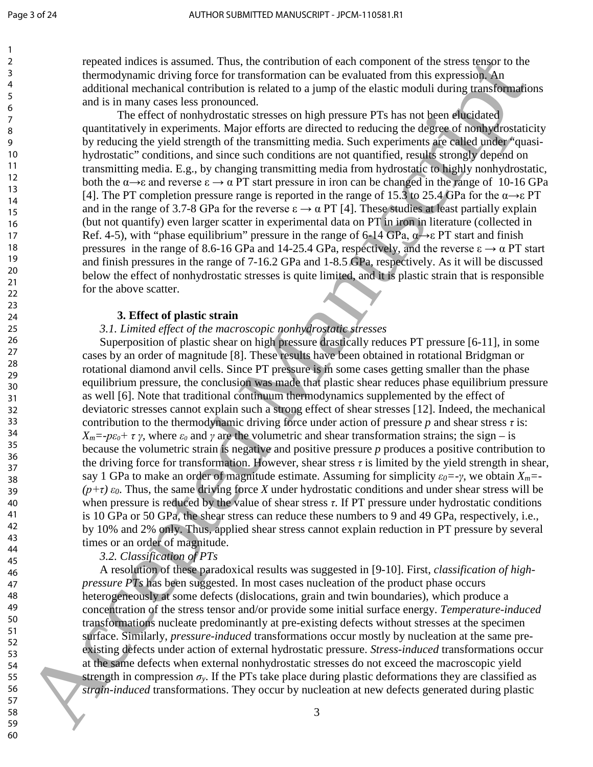repeated indices is assumed. Thus, the contribution of each component of the stress tensor to the thermodynamic driving force for transformation can be evaluated from this expression. An additional mechanical contribution is related to a jump of the elastic moduli during transformations and is in many cases less pronounced.

The effect of nonhydrostatic stresses on high pressure PTs has not been elucidated quantitatively in experiments. Major efforts are directed to reducing the degree of nonhydrostaticity by reducing the yield strength of the transmitting media. Such experiments are called under "quasihydrostatic" conditions, and since such conditions are not quantified, results strongly depend on transmitting media. E.g., by changing transmitting media from hydrostatic to highly nonhydrostatic, both the  $\alpha \rightarrow \epsilon$  and reverse  $\epsilon \rightarrow \alpha$  PT start pressure in iron can be changed in the range of 10-16 GPa [4]. The PT completion pressure range is reported in the range of 15.3 to 25.4 GPa for the  $\alpha \rightarrow \epsilon$  PT and in the range of 3.7-8 GPa for the reverse  $\varepsilon \to \alpha$  PT [4]. These studies at least partially explain (but not quantify) even larger scatter in experimental data on PT in iron in literature (collected in Ref. 4-5), with "phase equilibrium" pressure in the range of 6-14 GPa,  $\alpha \rightarrow \epsilon$  PT start and finish pressures in the range of 8.6-16 GPa and 14-25.4 GPa, respectively, and the reverse ε → α PT start and finish pressures in the range of 7-16.2 GPa and 1-8.5 GPa, respectively. As it will be discussed below the effect of nonhydrostatic stresses is quite limited, and it is plastic strain that is responsible for the above scatter.

#### **3. Effect of plastic strain**

#### *3.1. Limited effect of the macroscopic nonhydrostatic stresses*

Superposition of plastic shear on high pressure drastically reduces PT pressure [6-11], in some cases by an order of magnitude [8]. These results have been obtained in rotational Bridgman or rotational diamond anvil cells. Since PT pressure is in some cases getting smaller than the phase equilibrium pressure, the conclusion was made that plastic shear reduces phase equilibrium pressure as well [6]. Note that traditional continuum thermodynamics supplemented by the effect of deviatoric stresses cannot explain such a strong effect of shear stresses [12]. Indeed, the mechanical contribution to the thermodynamic driving force under action of pressure *p* and shear stress  $\tau$  is: *X<sub>m</sub>*=-*pε*<sup> $0$ </sup> + *τ* γ, where  $ε$ <sup>0</sup> and γ are the volumetric and shear transformation strains; the sign – is because the volumetric strain is negative and positive pressure *p* produces a positive contribution to the driving force for transformation. However, shear stress  $\tau$  is limited by the yield strength in shear, say 1 GPa to make an order of magnitude estimate. Assuming for simplicity  $\varepsilon_0 = -\gamma$ , we obtain  $X_m = -\frac{1}{2}$  $(p+\tau)$   $\varepsilon_0$ . Thus, the same driving force *X* under hydrostatic conditions and under shear stress will be when pressure is reduced by the value of shear stress *τ*. If PT pressure under hydrostatic conditions is 10 GPa or 50 GPa, the shear stress can reduce these numbers to 9 and 49 GPa, respectively, i.e., by 10% and 2% only. Thus, applied shear stress cannot explain reduction in PT pressure by several times or an order of magnitude. 2 a repeated interest associated. Thus, the contribution free the trumpetent of the stress eigenvalue of the stress energy of the stress energy of the stress energy of the stress energy of the stress energy of the stress

### *3.2. Classification of PTs*

A resolution of these paradoxical results was suggested in [9-10]. First, *classification of highpressure PTs* has been suggested. In most cases nucleation of the product phase occurs heterogeneously at some defects (dislocations, grain and twin boundaries), which produce a concentration of the stress tensor and/or provide some initial surface energy. *Temperature-induced* transformations nucleate predominantly at pre-existing defects without stresses at the specimen surface. Similarly, *pressure-induced* transformations occur mostly by nucleation at the same preexisting defects under action of external hydrostatic pressure. *Stress-induced* transformations occur at the same defects when external nonhydrostatic stresses do not exceed the macroscopic yield strength in compression  $\sigma_{\nu}$ . If the PTs take place during plastic deformations they are classified as *strain-induced* transformations. They occur by nucleation at new defects generated during plastic

3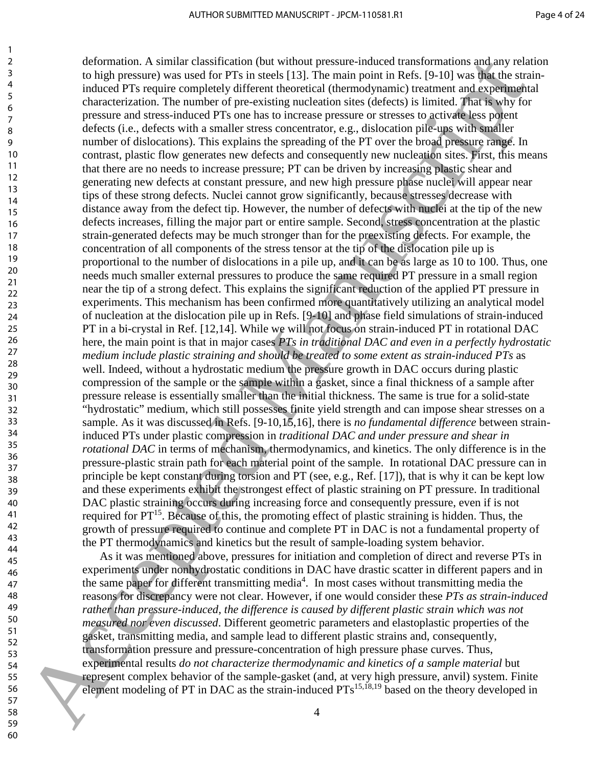deformation. A similar classification (but without pressure-induced transformations and any relation to high pressure) was used for PTs in steels [13]. The main point in Refs. [9-10] was that the straininduced PTs require completely different theoretical (thermodynamic) treatment and experimental characterization. The number of pre-existing nucleation sites (defects) is limited. That is why for pressure and stress-induced PTs one has to increase pressure or stresses to activate less potent defects (i.e., defects with a smaller stress concentrator, e.g., dislocation pile-ups with smaller number of dislocations). This explains the spreading of the PT over the broad pressure range. In contrast, plastic flow generates new defects and consequently new nucleation sites. First, this means that there are no needs to increase pressure; PT can be driven by increasing plastic shear and generating new defects at constant pressure, and new high pressure phase nuclei will appear near tips of these strong defects. Nuclei cannot grow significantly, because stresses decrease with distance away from the defect tip. However, the number of defects with nuclei at the tip of the new defects increases, filling the major part or entire sample. Second, stress concentration at the plastic strain-generated defects may be much stronger than for the preexisting defects. For example, the concentration of all components of the stress tensor at the tip of the dislocation pile up is proportional to the number of dislocations in a pile up, and it can be as large as 10 to 100. Thus, one needs much smaller external pressures to produce the same required PT pressure in a small region near the tip of a strong defect. This explains the significant reduction of the applied PT pressure in experiments. This mechanism has been confirmed more quantitatively utilizing an analytical model of nucleation at the dislocation pile up in Refs. [9-10] and phase field simulations of strain-induced PT in a bi-crystal in Ref. [12,14]. While we will not focus on strain-induced PT in rotational DAC here, the main point is that in major cases *PTs in traditional DAC and even in a perfectly hydrostatic medium include plastic straining and should be treated to some extent as strain-induced PTs* as well. Indeed, without a hydrostatic medium the pressure growth in DAC occurs during plastic compression of the sample or the sample within a gasket, since a final thickness of a sample after pressure release is essentially smaller than the initial thickness. The same is true for a solid-state "hydrostatic" medium, which still possesses finite yield strength and can impose shear stresses on a sample. As it was discussed in Refs. [9-10,15,16], there is *no fundamental difference* between straininduced PTs under plastic compression in *traditional DAC and under pressure and shear in rotational DAC* in terms of mechanism, thermodynamics, and kinetics. The only difference is in the pressure-plastic strain path for each material point of the sample. In rotational DAC pressure can in principle be kept constant during torsion and PT (see, e.g., Ref. [17]), that is why it can be kept low and these experiments exhibit the strongest effect of plastic straining on PT pressure. In traditional DAC plastic straining occurs during increasing force and consequently pressure, even if is not required for PT<sup>15</sup>. Because of this, the promoting effect of plastic straining is hidden. Thus, the growth of pressure required to continue and complete PT in DAC is not a fundamental property of the PT thermodynamics and kinetics but the result of sample-loading system behavior. 24<br>
do mension Assume University and well at present induced transformations and the properties of the state of the state of the state of the state of the state of the state of the state of the state of the state of the s

As it was mentioned above, pressures for initiation and completion of direct and reverse PTs in experiments under nonhydrostatic conditions in DAC have drastic scatter in different papers and in the same paper for different transmitting media<sup>4</sup>. In most cases without transmitting media the reasons for discrepancy were not clear. However, if one would consider these *PTs as strain-induced rather than pressure-induced, the difference is caused by different plastic strain which was not measured nor even discussed*. Different geometric parameters and elastoplastic properties of the gasket, transmitting media, and sample lead to different plastic strains and, consequently, transformation pressure and pressure-concentration of high pressure phase curves. Thus, experimental results *do not characterize thermodynamic and kinetics of a sample material* but represent complex behavior of the sample-gasket (and, at very high pressure, anvil) system. Finite element modeling of PT in DAC as the strain-induced  $PTs^{15,18,19}$  based on the theory developed in

4

59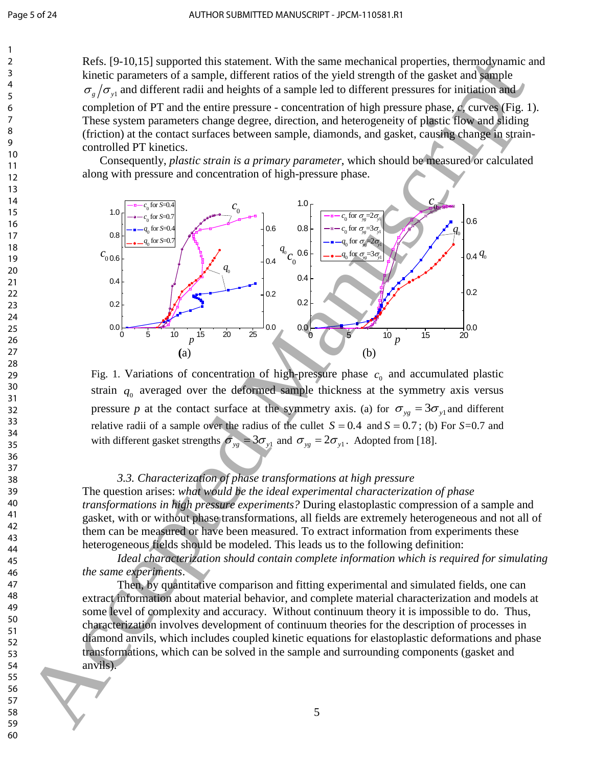Refs. [9-10,15] supported this statement. With the same mechanical properties, thermodynamic and kinetic parameters of a sample, different ratios of the yield strength of the gasket and sample  $\sigma_{g}/\sigma_{gl}$  and different radii and heights of a sample led to different pressures for initiation and completion of PT and the entire pressure *-* concentration of high pressure phase, *c,* curves (Fig. 1). These system parameters change degree, direction, and heterogeneity of plastic flow and sliding (friction) at the contact surfaces between sample, diamonds, and gasket, causing change in straincontrolled PT kinetics.

Consequently, *plastic strain is a primary parameter*, which should be measured or calculated along with pressure and concentration of high-pressure phase.



Fig. 1. Variations of concentration of high-pressure phase  $c_0$  and accumulated plastic strain  $q_0$  averaged over the deformed sample thickness at the symmetry axis versus pressure *p* at the contact surface at the symmetry axis. (a) for  $\sigma_{y} = 3 \sigma_{y}$  and different relative radii of a sample over the radius of the cullet  $S = 0.4$  and  $S = 0.7$ ; (b) For *S*=0.7 and with different gasket strengths  $\sigma_{yg} = 3 \sigma_{y1}$  and  $\sigma_{yg} = 2 \sigma_{y1}$ . Adopted from [18].

### *3.3. Characterization of phase transformations at high pressure*

The question arises: *what would be the ideal experimental characterization of phase transformations in high pressure experiments?* During elastoplastic compression of a sample and gasket, with or without phase transformations, all fields are extremely heterogeneous and not all of them can be measured or have been measured. To extract information from experiments these heterogeneous fields should be modeled. This leads us to the following definition:

*Ideal characterization should contain complete information which is required for simulating the same experiments*.

Then, by quantitative comparison and fitting experimental and simulated fields, one can extract information about material behavior, and complete material characterization and models at some level of complexity and accuracy. Without continuum theory it is impossible to do. Thus, characterization involves development of continuum theories for the description of processes in diamond anvils, which includes coupled kinetic equations for elastoplastic deformations and phase transformations, which can be solved in the sample and surrounding components (gasket and anvils).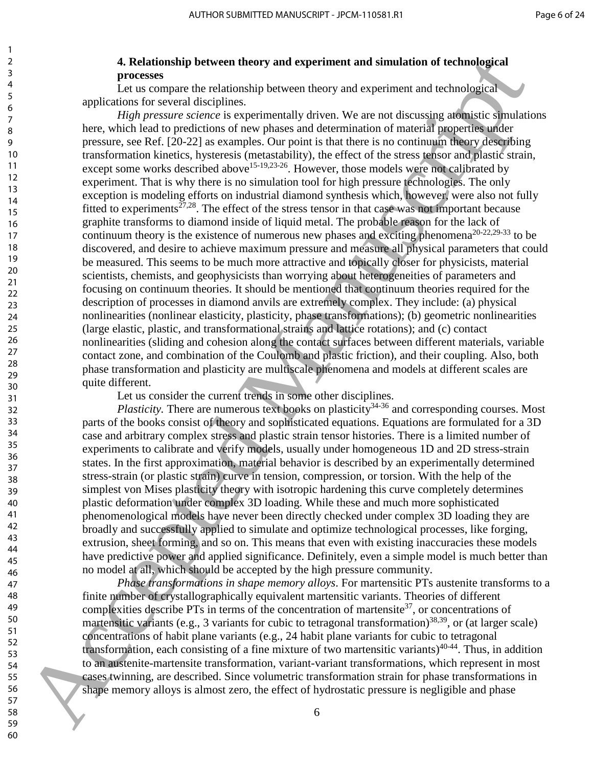### **4. Relationship between theory and experiment and simulation of technological processes**

Let us compare the relationship between theory and experiment and technological applications for several disciplines.

*High pressure science* is experimentally driven. We are not discussing atomistic simulations here, which lead to predictions of new phases and determination of material properties under pressure, see Ref. [20-22] as examples. Our point is that there is no continuum theory describing transformation kinetics, hysteresis (metastability), the effect of the stress tensor and plastic strain, except some works described above<sup>15-19,23-26</sup>. However, those models were not calibrated by experiment. That is why there is no simulation tool for high pressure technologies. The only exception is modeling efforts on industrial diamond synthesis which, however, were also not fully fitted to experiments<sup> $27,28$ </sup>. The effect of the stress tensor in that case was not important because graphite transforms to diamond inside of liquid metal. The probable reason for the lack of continuum theory is the existence of numerous new phases and exciting phenomena<sup>20-22,29-33</sup> to be discovered, and desire to achieve maximum pressure and measure all physical parameters that could be measured. This seems to be much more attractive and topically closer for physicists, material scientists, chemists, and geophysicists than worrying about heterogeneities of parameters and focusing on continuum theories. It should be mentioned that continuum theories required for the description of processes in diamond anvils are extremely complex. They include: (a) physical nonlinearities (nonlinear elasticity, plasticity, phase transformations); (b) geometric nonlinearities (large elastic, plastic, and transformational strains and lattice rotations); and (c) contact nonlinearities (sliding and cohesion along the contact surfaces between different materials, variable contact zone, and combination of the Coulomb and plastic friction), and their coupling. Also, both phase transformation and plasticity are multiscale phenomena and models at different scales are quite different. 4 Acceleration of the consequent interval and spectra and simulation of technological<br>
1 Acceleration interval and simulation of the consequent interval and the consequent interval and the consequent interval and the cons

Let us consider the current trends in some other disciplines.

*Plasticity*. There are numerous text books on plasticity<sup>34-36</sup> and corresponding courses. Most parts of the books consist of theory and sophisticated equations. Equations are formulated for a 3D case and arbitrary complex stress and plastic strain tensor histories. There is a limited number of experiments to calibrate and verify models, usually under homogeneous 1D and 2D stress-strain states. In the first approximation, material behavior is described by an experimentally determined stress-strain (or plastic strain) curve in tension, compression, or torsion. With the help of the simplest von Mises plasticity theory with isotropic hardening this curve completely determines plastic deformation under complex 3D loading. While these and much more sophisticated phenomenological models have never been directly checked under complex 3D loading they are broadly and successfully applied to simulate and optimize technological processes, like forging, extrusion, sheet forming, and so on. This means that even with existing inaccuracies these models have predictive power and applied significance. Definitely, even a simple model is much better than no model at all, which should be accepted by the high pressure community.

*Phase transformations in shape memory alloys*. For martensitic PTs austenite transforms to a finite number of crystallographically equivalent martensitic variants. Theories of different complexities describe PTs in terms of the concentration of martensite<sup>37</sup>, or concentrations of martensitic variants (e.g., 3 variants for cubic to tetragonal transformation)<sup>38,39</sup>, or (at larger scale) concentrations of habit plane variants (e.g., 24 habit plane variants for cubic to tetragonal transformation, each consisting of a fine mixture of two martensitic variants) 40-44. Thus, in addition to an austenite-martensite transformation, variant-variant transformations, which represent in most cases twinning, are described. Since volumetric transformation strain for phase transformations in shape memory alloys is almost zero, the effect of hydrostatic pressure is negligible and phase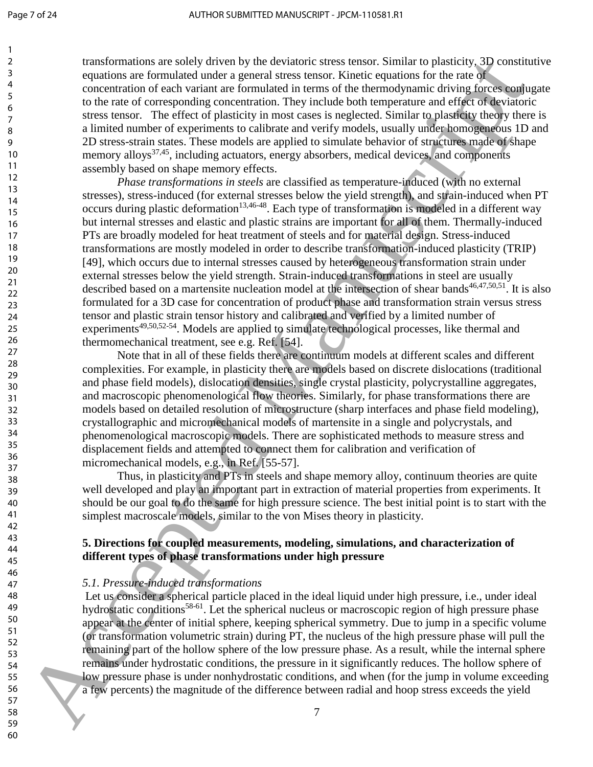transformations are solely driven by the deviatoric stress tensor. Similar to plasticity, 3D constitutive equations are formulated under a general stress tensor. Kinetic equations for the rate of concentration of each variant are formulated in terms of the thermodynamic driving forces conjugate to the rate of corresponding concentration. They include both temperature and effect of deviatoric stress tensor. The effect of plasticity in most cases is neglected. Similar to plasticity theory there is a limited number of experiments to calibrate and verify models, usually under homogeneous 1D and 2D stress-strain states. These models are applied to simulate behavior of structures made of shape memory alloys<sup>37,45</sup>, including actuators, energy absorbers, medical devices, and components assembly based on shape memory effects.

*Phase transformations in steels* are classified as temperature-induced (with no external stresses), stress-induced (for external stresses below the yield strength), and strain-induced when PT occurs during plastic deformation<sup>13,46-48</sup>. Each type of transformation is modeled in a different way but internal stresses and elastic and plastic strains are important for all of them. Thermally-induced PTs are broadly modeled for heat treatment of steels and for material design. Stress-induced transformations are mostly modeled in order to describe transformation-induced plasticity (TRIP) [49], which occurs due to internal stresses caused by heterogeneous transformation strain under external stresses below the yield strength. Strain-induced transformations in steel are usually described based on a martensite nucleation model at the intersection of shear bands<sup>46,47,50,51</sup>. It is also formulated for a 3D case for concentration of product phase and transformation strain versus stress tensor and plastic strain tensor history and calibrated and verified by a limited number of experiments<sup>49,50,52-54</sup>. Models are applied to simulate technological processes, like thermal and thermomechanical treatment, see e.g. Ref. [54]. Example must be the best distribution of the state in the best distribution of equations for constraints and properties are sensitive and the state in the state in the state in the state in the state in the state in the s

Note that in all of these fields there are continuum models at different scales and different complexities. For example, in plasticity there are models based on discrete dislocations (traditional and phase field models), dislocation densities, single crystal plasticity, polycrystalline aggregates, and macroscopic phenomenological flow theories. Similarly, for phase transformations there are models based on detailed resolution of microstructure (sharp interfaces and phase field modeling), crystallographic and micromechanical models of martensite in a single and polycrystals, and phenomenological macroscopic models. There are sophisticated methods to measure stress and displacement fields and attempted to connect them for calibration and verification of micromechanical models, e.g., in Ref. [55-57].

Thus, in plasticity and PTs in steels and shape memory alloy, continuum theories are quite well developed and play an important part in extraction of material properties from experiments. It should be our goal to do the same for high pressure science. The best initial point is to start with the simplest macroscale models, similar to the von Mises theory in plasticity.

### **5. Directions for coupled measurements, modeling, simulations, and characterization of different types of phase transformations under high pressure**

### *5.1. Pressure-induced transformations*

Let us consider a spherical particle placed in the ideal liquid under high pressure, i.e., under ideal hydrostatic conditions<sup>58-61</sup>. Let the spherical nucleus or macroscopic region of high pressure phase appear at the center of initial sphere, keeping spherical symmetry. Due to jump in a specific volume (or transformation volumetric strain) during PT, the nucleus of the high pressure phase will pull the remaining part of the hollow sphere of the low pressure phase. As a result, while the internal sphere remains under hydrostatic conditions, the pressure in it significantly reduces. The hollow sphere of low pressure phase is under nonhydrostatic conditions, and when (for the jump in volume exceeding a few percents) the magnitude of the difference between radial and hoop stress exceeds the yield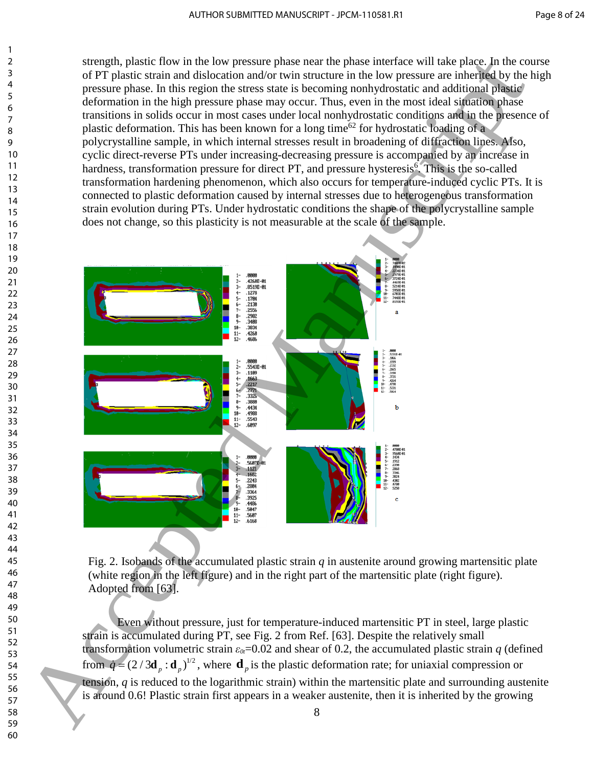strength, plastic flow in the low pressure phase near the phase interface will take place. In the course of PT plastic strain and dislocation and/or twin structure in the low pressure are inherited by the high pressure phase. In this region the stress state is becoming nonhydrostatic and additional plastic deformation in the high pressure phase may occur. Thus, even in the most ideal situation phase transitions in solids occur in most cases under local nonhydrostatic conditions and in the presence of plastic deformation. This has been known for a long time<sup>62</sup> for hydrostatic loading of a polycrystalline sample, in which internal stresses result in broadening of diffraction lines. Also, cyclic direct-reverse PTs under increasing-decreasing pressure is accompanied by an increase in hardness, transformation pressure for direct PT, and pressure hysteresis<sup>6</sup>. This is the so-called transformation hardening phenomenon, which also occurs for temperature-induced cyclic PTs. It is connected to plastic deformation caused by internal stresses due to heterogeneous transformation strain evolution during PTs. Under hydrostatic conditions the shape of the polycrystalline sample does not change, so this plasticity is not measurable at the scale of the sample.



Fig. 2. Isobands of the accumulated plastic strain *q* in austenite around growing martensitic plate (white region in the left figure) and in the right part of the martensitic plate (right figure). Adopted from [63].

 Even without pressure, just for temperature-induced martensitic PT in steel, large plastic strain is accumulated during PT, see Fig. 2 from Ref. [63]. Despite the relatively small transformation volumetric strain  $\varepsilon_0 = 0.02$  and shear of 0.2, the accumulated plastic strain *q* (defined from  $\dot{q} = (2 / 3d_p : d_p)^{1/2}$ , where  $d_p$  is the plastic deformation rate; for uniaxial compression or tension, *q* is reduced to the logarithmic strain) within the martensitic plate and surrounding austenite is around 0.6! Plastic strain first appears in a weaker austenite, then it is inherited by the growing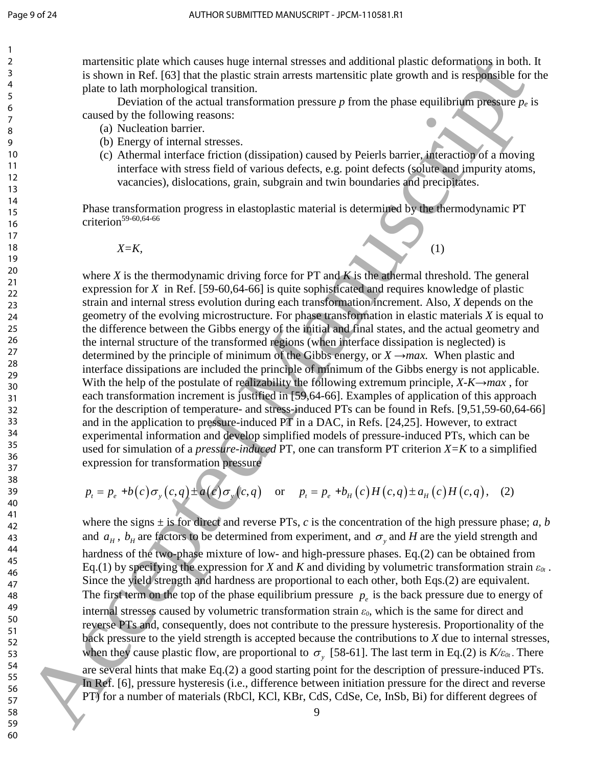martensitic plate which causes huge internal stresses and additional plastic deformations in both. It is shown in Ref. [63] that the plastic strain arrests martensitic plate growth and is responsible for the plate to lath morphological transition.

Deviation of the actual transformation pressure  $p$  from the phase equilibrium pressure  $p_e$  is caused by the following reasons:

- (a) Nucleation barrier.
- (b) Energy of internal stresses.
- (c) Athermal interface friction (dissipation) caused by Peierls barrier, interaction of a moving interface with stress field of various defects, e.g. point defects (solute and impurity atoms, vacancies), dislocations, grain, subgrain and twin boundaries and precipitates.

Phase transformation progress in elastoplastic material is determined by the thermodynamic PT criterion $59-60,64-66$ 

*X=K,* (1)

where  $X$  is the thermodynamic driving force for PT and  $K$  is the athermal threshold. The general expression for *X* in Ref. [59-60,64-66] is quite sophisticated and requires knowledge of plastic strain and internal stress evolution during each transformation increment. Also, *X* depends on the geometry of the evolving microstructure. For phase transformation in elastic materials *X* is equal to the difference between the Gibbs energy of the initial and final states, and the actual geometry and the internal structure of the transformed regions (when interface dissipation is neglected) is determined by the principle of minimum of the Gibbs energy, or  $X \rightarrow max$ . When plastic and interface dissipations are included the principle of minimum of the Gibbs energy is not applicable. With the help of the postulate of realizability the following extremum principle, *X-K*→*max* , for each transformation increment is justified in [59,64-66]. Examples of application of this approach for the description of temperature- and stress-induced PTs can be found in Refs. [9,51,59-60,64-66] and in the application to pressure-induced  $PT$  in a DAC, in Refs. [24,25]. However, to extract experimental information and develop simplified models of pressure-induced PTs, which can be used for simulation of a *pressure-induced* PT, one can transform PT criterion *X=K* to a simplified expression for transformation pressure is the finite trained interesting interesting and the same and although plastic deterministic particle into the same and although interesting into the same of the same of the same of the same of the same of the same of th

$$
p_t = p_e + b(c)\sigma_y(c,q) \pm a(c)\sigma_y(c,q) \quad \text{or} \quad p_t = p_e + b_H(c)H(c,q) \pm a_H(c)H(c,q), \quad (2)
$$

where the signs  $\pm$  is for direct and reverse PTs, *c* is the concentration of the high pressure phase; *a*, *b* and  $a_H$ ,  $b_H$  are factors to be determined from experiment, and  $\sigma$ <sub>y</sub> and *H* are the yield strength and hardness of the two-phase mixture of low- and high-pressure phases. Eq.(2) can be obtained from Eq.(1) by specifying the expression for *X* and *K* and dividing by volumetric transformation strain  $\varepsilon_{0t}$ . Since the yield strength and hardness are proportional to each other, both Eqs.(2) are equivalent. The first term on the top of the phase equilibrium pressure  $p_e$  is the back pressure due to energy of internal stresses caused by volumetric transformation strain *ε0*, which is the same for direct and reverse PTs and, consequently, does not contribute to the pressure hysteresis. Proportionality of the back pressure to the yield strength is accepted because the contributions to *X* due to internal stresses, when they cause plastic flow, are proportional to  $\sigma_y$  [58-61]. The last term in Eq.(2) is  $K/\varepsilon_{0t}$ . There are several hints that make Eq.(2) a good starting point for the description of pressure-induced PTs. In Ref. [6], pressure hysteresis (i.e., difference between initiation pressure for the direct and reverse PT) for a number of materials (RbCl, KCl, KBr, CdS, CdSe, Ce, InSb, Bi) for different degrees of

9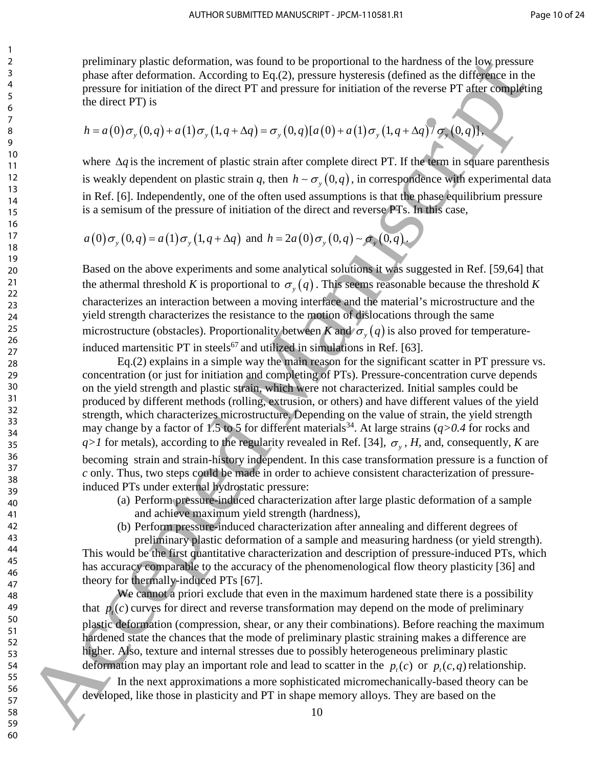preliminary plastic deformation, was found to be proportional to the hardness of the low pressure phase after deformation. According to Eq.(2), pressure hysteresis (defined as the difference in the pressure for initiation of the direct PT and pressure for initiation of the reverse PT after completing the direct PT) is

$$
h = a(0)\sigma_{y}(0,q) + a(1)\sigma_{y}(1,q+\Delta q) = \sigma_{y}(0,q)[a(0) + a(1)\sigma_{y}(1,q+\Delta q)/\sigma_{y}(0,q)],
$$

where ∆*q* is the increment of plastic strain after complete direct PT. If the term in square parenthesis is weakly dependent on plastic strain *q*, then  $h \sim \sigma_y(0, q)$ , in correspondence with experimental data in Ref. [6]. Independently, one of the often used assumptions is that the phase equilibrium pressure is a semisum of the pressure of initiation of the direct and reverse PTs. In this case,

$$
a(0)\sigma_y(0,q) = a(1)\sigma_y(1,q+\Delta q) \text{ and } h = 2a(0)\sigma_y(0,q) - \sigma_y(0,q).
$$

Based on the above experiments and some analytical solutions it was suggested in Ref. [59,64] that the athermal threshold *K* is proportional to  $\sigma_y(q)$ . This seems reasonable because the threshold *K* characterizes an interaction between a moving interface and the material's microstructure and the yield strength characterizes the resistance to the motion of dislocations through the same microstructure (obstacles). Proportionality between *K* and  $\sigma_y(q)$  is also proved for temperatureinduced martensitic PT in steels<sup>67</sup> and utilized in simulations in Ref. [63].

 Eq.(2) explains in a simple way the main reason for the significant scatter in PT pressure vs. concentration (or just for initiation and completing of PTs). Pressure-concentration curve depends on the yield strength and plastic strain, which were not characterized. Initial samples could be produced by different methods (rolling, extrusion, or others) and have different values of the yield strength, which characterizes microstructure. Depending on the value of strain, the yield strength may change by a factor of 1.5 to 5 for different materials<sup>34</sup>. At large strains ( $q > 0.4$  for rocks and *q>1* for metals), according to the regularity revealed in Ref. [34],  $\sigma_{v}$ , *H*, and, consequently, *K* are becoming strain and strain-history independent. In this case transformation pressure is a function of *c* only. Thus, two steps could be made in order to achieve consistent characterization of pressureinduced PTs under external hydrostatic pressure: planting places deformation, was function to the proposition to the basis of the basis of the contents of the three spaces of the state of the state of the state of the state of the state of the state of the state of the

- (a) Perform pressure-induced characterization after large plastic deformation of a sample and achieve maximum yield strength (hardness),
- (b) Perform pressure-induced characterization after annealing and different degrees of

preliminary plastic deformation of a sample and measuring hardness (or yield strength). This would be the first quantitative characterization and description of pressure-induced PTs, which has accuracy comparable to the accuracy of the phenomenological flow theory plasticity [36] and theory for thermally-induced PTs [67].

We cannot a priori exclude that even in the maximum hardened state there is a possibility that  $p(c)$  curves for direct and reverse transformation may depend on the mode of preliminary plastic deformation (compression, shear, or any their combinations). Before reaching the maximum hardened state the chances that the mode of preliminary plastic straining makes a difference are higher. Also, texture and internal stresses due to possibly heterogeneous preliminary plastic deformation may play an important role and lead to scatter in the  $p_r(c)$  or  $p_r(c, q)$  relationship.

In the next approximations a more sophisticated micromechanically-based theory can be developed, like those in plasticity and PT in shape memory alloys. They are based on the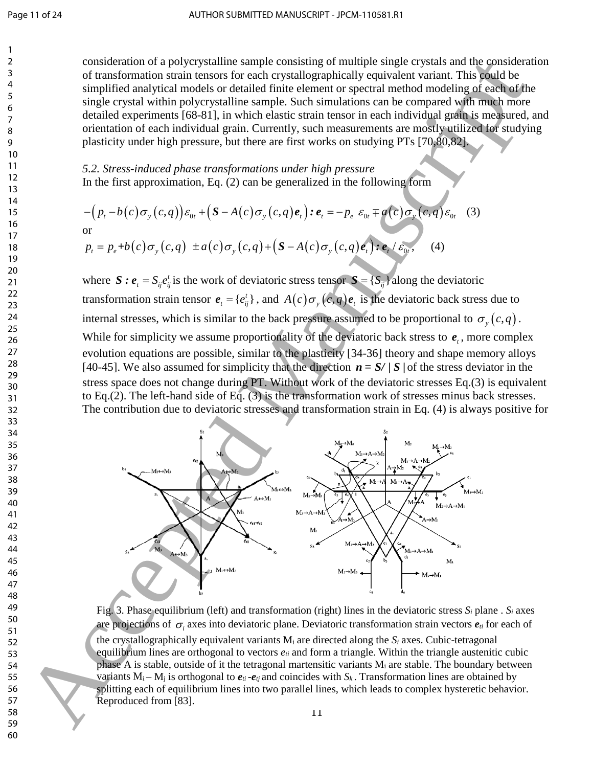consideration of a polycrystalline sample consisting of multiple single crystals and the consideration of transformation strain tensors for each crystallographically equivalent variant. This could be simplified analytical models or detailed finite element or spectral method modeling of each of the single crystal within polycrystalline sample. Such simulations can be compared with much more detailed experiments [68-81], in which elastic strain tensor in each individual grain is measured, and orientation of each individual grain. Currently, such measurements are mostly utilized for studying plasticity under high pressure, but there are first works on studying PTs [70,80,82].

*5.2. Stress-induced phase transformations under high pressure*  In the first approximation, Eq. (2) can be generalized in the following form

$$
-(p_t - b(c)\sigma_y(c,q))\varepsilon_{0t} + (S - A(c)\sigma_y(c,q)e_t) : e_t = -p_e \varepsilon_{0t} + a(c)\sigma_y(c,q)\varepsilon_{0t} \quad (3)
$$
  
or  

$$
p_t = p_e + b(c)\sigma_y(c,q) \pm a(c)\sigma_y(c,q) + (S - A(c)\sigma_y(c,q)e_t) : e_t \neq e_0, \quad (4)
$$

where  $S: e_t = S_{ij}e_{ij}^t$  is the work of deviatoric stress tensor  $S = \{S_{ij}\}\$ along the deviatoric transformation strain tensor  $e_i = \{e_{ij}^t\}$ , and  $A(c)\sigma_y(c,q)e_i$  is the deviatoric back stress due to internal stresses, which is similar to the back pressure assumed to be proportional to  $\sigma_y(c, q)$ . While for simplicity we assume proportionality of the deviatoric back stress to  $e_i$ , more complex evolution equations are possible, similar to the plasticity [34-36] theory and shape memory alloys [40-45]. We also assumed for simplicity that the direction *n = S/ | S |* of the stress deviator in the stress space does not change during PT. Without work of the deviatoric stresses Eq.(3) is equivalent to Eq.(2). The left-hand side of Eq. (3) is the transformation work of stresses minus back stresses. The contribution due to deviatoric stresses and transformation strain in Eq. (4) is always positive for



Fig. 3. Phase equilibrium (left) and transformation (right) lines in the deviatoric stress  $S_i$  plane .  $S_i$  axes are projections of  $\sigma_i$  axes into deviatoric plane. Deviatoric transformation strain vectors  $e_{ti}$  for each of the crystallographically equivalent variants Mi are directed along the *Si* axes. Cubic-tetragonal equilibrium lines are orthogonal to vectors  $e_{ti}$  and form a triangle. Within the triangle austenitic cubic phase A is stable, outside of it the tetragonal martensitic variants  $M_i$  are stable. The boundary between variants  $M_i - M_j$  is orthogonal to  $e_{ti} - e_{ti}$  and coincides with  $S_k$ . Transformation lines are obtained by splitting each of equilibrium lines into two parallel lines, which leads to complex hysteretic behavior. Reproduced from [83].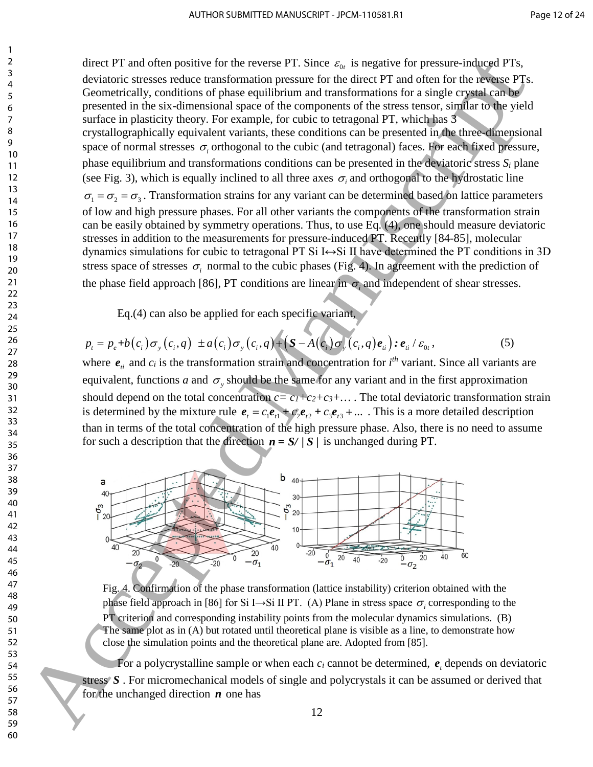direct PT and often positive for the reverse PT. Since  $\varepsilon_{0t}$  is negative for pressure-induced PTs, deviatoric stresses reduce transformation pressure for the direct PT and often for the reverse PTs. Geometrically, conditions of phase equilibrium and transformations for a single crystal can be presented in the six-dimensional space of the components of the stress tensor, similar to the yield surface in plasticity theory. For example, for cubic to tetragonal PT, which has  $3\text{-}$ crystallographically equivalent variants, these conditions can be presented in the three-dimensional space of normal stresses  $\sigma_i$  orthogonal to the cubic (and tetragonal) faces. For each fixed pressure, phase equilibrium and transformations conditions can be presented in the deviatoric stress  $S_i$  plane (see Fig. 3), which is equally inclined to all three axes  $\sigma_i$  and orthogonal to the hydrostatic line  $\sigma_1 = \sigma_2 = \sigma_3$ . Transformation strains for any variant can be determined based on lattice parameters of low and high pressure phases. For all other variants the components of the transformation strain can be easily obtained by symmetry operations. Thus, to use Eq. (4), one should measure deviatoric stresses in addition to the measurements for pressure-induced PT. Recently [84-85], molecular dynamics simulations for cubic to tetragonal PT Si I↔Si II have determined the PT conditions in 3D stress space of stresses  $\sigma_i$  normal to the cubic phases (Fig. 4). In agreement with the prediction of the phase field approach [86], PT conditions are linear in  $\sigma$  and independent of shear stresses. dense 191 and other passing for the energy of the singular presenct infegre services of the control of the singular form and the singular form and the singular form and the singular control of the singular control of the

Eq.(4) can also be applied for each specific variant,

$$
p_t = p_e + b(c_i)\sigma_y(c_i, q) \pm a(c_i)\sigma_y(c_i, q) + (S - A(c_i)\sigma_y(c_i, q)e_i) \cdot e_i / \varepsilon_{0t}, \qquad (5)
$$

where  $e_{ii}$  and  $c_i$  is the transformation strain and concentration for  $i^{th}$  variant. Since all variants are equivalent, functions *a* and  $\sigma$ , should be the same for any variant and in the first approximation should depend on the total concentration  $c = c_1+c_2+c_3+...$  . The total deviatoric transformation strain is determined by the mixture rule  $e_t = c_1 e_{t1} + c_2 e_{t2} + c_3 e_{t3} + ...$  This is a more detailed description than in terms of the total concentration of the high pressure phase. Also, there is no need to assume for such a description that the direction  $n = S / S / S$  is unchanged during PT.



Fig. 4. Confirmation of the phase transformation (lattice instability) criterion obtained with the phase field approach in [86] for Si I→Si II PT. (A) Plane in stress space  $\sigma_i$  corresponding to the PT criterion and corresponding instability points from the molecular dynamics simulations. (B) The same plot as in (A) but rotated until theoretical plane is visible as a line, to demonstrate how close the simulation points and the theoretical plane are. Adopted from [85].

For a polycrystalline sample or when each  $c_i$  cannot be determined,  $e_i$  depends on deviatoric stress *S* . For micromechanical models of single and polycrystals it can be assumed or derived that for the unchanged direction *n* one has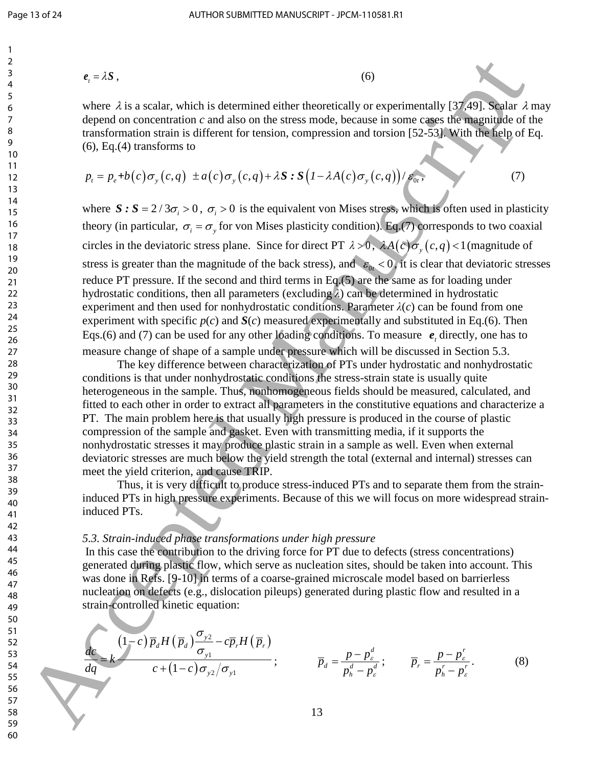$$
e_{i} = \lambda S \tag{6}
$$

where  $\lambda$  is a scalar, which is determined either theoretically or experimentally [37,49]. Scalar  $\lambda$  may depend on concentration *c* and also on the stress mode, because in some cases the magnitude of the transformation strain is different for tension, compression and torsion [52-53]. With the help of Eq.  $(6)$ , Eq. $(4)$  transforms to

$$
p_{t} = p_{e} + b(c)\sigma_{y}(c,q) \pm a(c)\sigma_{y}(c,q) + \lambda S \cdot S(l - \lambda A(c)\sigma_{y}(c,q))/\varepsilon_{0t} \tag{7}
$$

where  $S: S = 2/3\sigma_i > 0$ ,  $\sigma_i > 0$  is the equivalent von Mises stress, which is often used in plasticity theory (in particular,  $\sigma_i = \sigma_y$  for von Mises plasticity condition). Eq.(7) corresponds to two coaxial circles in the deviatoric stress plane. Since for direct PT  $\lambda > 0$ ,  $\lambda A(c)\sigma_y(c,q) < 1$  (magnitude of stress is greater than the magnitude of the back stress), and  $\varepsilon_{0t} < 0$ , it is clear that deviatoric stresses reduce PT pressure. If the second and third terms in Eq.(5) are the same as for loading under hydrostatic conditions, then all parameters (excluding *λ*) can be determined in hydrostatic experiment and then used for nonhydrostatic conditions. Parameter *λ*(*c*) can be found from one experiment with specific  $p(c)$  and  $S(c)$  measured experimentally and substituted in Eq.(6). Then Eqs.(6) and (7) can be used for any other loading conditions. To measure  $e_i$  directly, one has to measure change of shape of a sample under pressure which will be discussed in Section 5.3.  $\epsilon = 4.5$ , (6)<br>  $\epsilon = 4.5$ , (6)<br>  $\epsilon = 4.5$ ,  $\epsilon = 4.5$ ,  $\epsilon = 4.5$ ,  $\epsilon = 4.5$ ,  $\epsilon = 4.5$ ,  $\epsilon = 4.5$ ,  $\epsilon = 4.5$ ,  $\epsilon = 4.5$ ,  $\epsilon = 4.5$ ,  $\epsilon = 4.5$ ,  $\epsilon = 4.5$ ,  $\epsilon = 4.5$ ,  $\epsilon = 4.5$ ,  $\epsilon = 4.5$ ,  $\epsilon = 4.5$ ,  $\epsilon = 4.5$ ,  $\epsilon = 4.5$ ,  $\$ 

The key difference between characterization of PTs under hydrostatic and nonhydrostatic conditions is that under nonhydrostatic conditions the stress-strain state is usually quite heterogeneous in the sample. Thus, nonhomogeneous fields should be measured, calculated, and fitted to each other in order to extract all parameters in the constitutive equations and characterize a PT. The main problem here is that usually high pressure is produced in the course of plastic compression of the sample and gasket. Even with transmitting media, if it supports the nonhydrostatic stresses it may produce plastic strain in a sample as well. Even when external deviatoric stresses are much below the yield strength the total (external and internal) stresses can meet the yield criterion, and cause TRIP.

Thus, it is very difficult to produce stress-induced PTs and to separate them from the straininduced PTs in high pressure experiments. Because of this we will focus on more widespread straininduced PTs.

### *5.3. Strain-induced phase transformations under high pressure*

In this case the contribution to the driving force for PT due to defects (stress concentrations) generated during plastic flow, which serve as nucleation sites, should be taken into account. This was done in Refs. [9-10] in terms of a coarse-grained microscale model based on barrierless nucleation on defects (e.g., dislocation pileups) generated during plastic flow and resulted in a strain-controlled kinetic equation:

$$
\frac{dC}{dq} = k \frac{(1-c)\overline{p}_d H(\overline{p}_d) \frac{\sigma_{y2}}{\sigma_{y1}} - c\overline{p}_r H(\overline{p}_r)}{c + (1-c)\sigma_{y2}/\sigma_{y1}}; \qquad \overline{p}_d = \frac{p - p_{\varepsilon}^d}{p_h^d - p_{\varepsilon}^d}; \qquad \overline{p}_r = \frac{p - p_{\varepsilon}^r}{p_h^r - p_{\varepsilon}^r}.
$$
\n(8)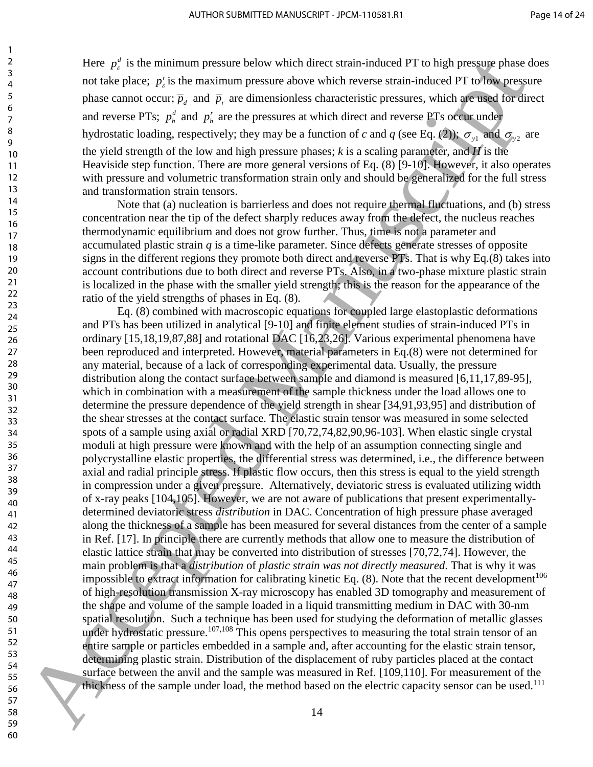Here  $p_{\varepsilon}^d$  is the minimum pressure below which direct strain-induced PT to high pressure phase does not take place;  $p_k^r$  is the maximum pressure above which reverse strain-induced PT to low pressure phase cannot occur;  $\bar{p}_d$  and  $\bar{p}_r$  are dimensionless characteristic pressures, which are used for direct and reverse PTs;  $p_h^d$  and  $p_h^r$  are the pressures at which direct and reverse PTs occur under hydrostatic loading, respectively; they may be a function of *c* and *q* (see Eq. (2));  $\sigma_{y1}$  and  $\sigma_{y2}$  are the yield strength of the low and high pressure phases; *k* is a scaling parameter, and *H* is the Heaviside step function. There are more general versions of Eq. (8) [9-10]. However, it also operates with pressure and volumetric transformation strain only and should be generalized for the full stress and transformation strain tensors.

Note that (a) nucleation is barrierless and does not require thermal fluctuations, and (b) stress concentration near the tip of the defect sharply reduces away from the defect, the nucleus reaches thermodynamic equilibrium and does not grow further. Thus, time is not a parameter and accumulated plastic strain *q* is a time-like parameter. Since defects generate stresses of opposite signs in the different regions they promote both direct and reverse PTs. That is why Eq.(8) takes into account contributions due to both direct and reverse PTs. Also, in a two-phase mixture plastic strain is localized in the phase with the smaller yield strength; this is the reason for the appearance of the ratio of the yield strengths of phases in Eq. (8).

Eq. (8) combined with macroscopic equations for coupled large elastoplastic deformations and PTs has been utilized in analytical [9-10] and finite element studies of strain-induced PTs in ordinary [15,18,19,87,88] and rotational DAC [16,23,26]. Various experimental phenomena have been reproduced and interpreted. However, material parameters in Eq.(8) were not determined for any material, because of a lack of corresponding experimental data. Usually, the pressure distribution along the contact surface between sample and diamond is measured [6,11,17,89-95], which in combination with a measurement of the sample thickness under the load allows one to determine the pressure dependence of the yield strength in shear [34,91,93,95] and distribution of the shear stresses at the contact surface. The elastic strain tensor was measured in some selected spots of a sample using axial or radial XRD [70,72,74,82,90,96-103]. When elastic single crystal moduli at high pressure were known and with the help of an assumption connecting single and polycrystalline elastic properties, the differential stress was determined, i.e., the difference between axial and radial principle stress. If plastic flow occurs, then this stress is equal to the yield strength in compression under a given pressure. Alternatively, deviatoric stress is evaluated utilizing width of x-ray peaks [104,105]. However, we are not aware of publications that present experimentallydetermined deviatoric stress *distribution* in DAC. Concentration of high pressure phase averaged along the thickness of a sample has been measured for several distances from the center of a sample in Ref. [17]. In principle there are currently methods that allow one to measure the distribution of elastic lattice strain that may be converted into distribution of stresses [70,72,74]. However, the main problem is that a *distribution* of *plastic strain was not directly measured*. That is why it was impossible to extract information for calibrating kinetic Eq.  $(8)$ . Note that the recent development<sup>106</sup> of high-resolution transmission X-ray microscopy has enabled 3D tomography and measurement of the shape and volume of the sample loaded in a liquid transmitting medium in DAC with 30-nm spatial resolution. Such a technique has been used for studying the deformation of metallic glasses under hydrostatic pressure.<sup>107,108</sup> This opens perspectives to measuring the total strain tensor of an entire sample or particles embedded in a sample and, after accounting for the elastic strain tensor, determining plastic strain. Distribution of the displacement of ruby particles placed at the contact surface between the anvil and the sample was measured in Ref. [109,110]. For measurement of the thickness of the sample under load, the method based on the electric capacity sensor can be used.<sup>111</sup> 34.<br>
Here  $\rho_s^2$  is the maintain pressure blow which trees entails above the timb ( $\rho_s^2$ ) and the system phase<br>
not take place  $\rho_s^2$  is the maximum pressure above which trees or anti-above 20 T to branche can<br>
place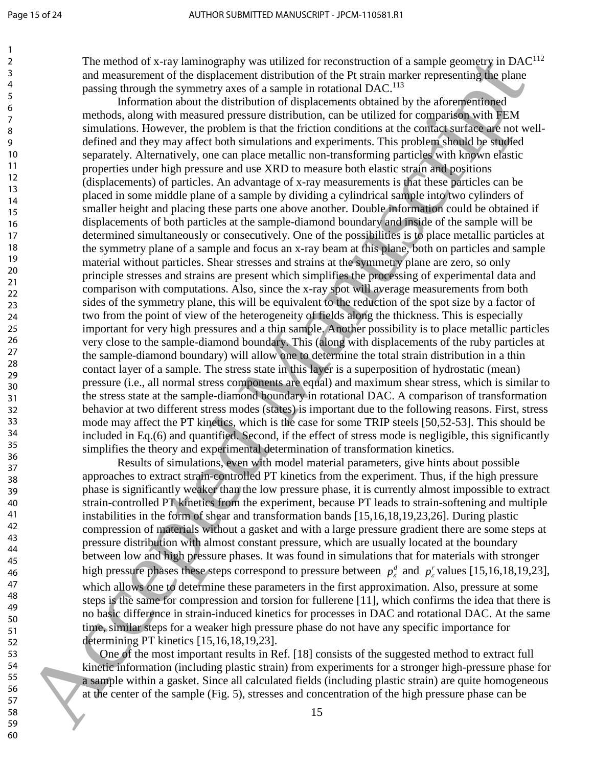The method of x-ray laminography was utilized for reconstruction of a sample geometry in  $DAC^{112}$ and measurement of the displacement distribution of the Pt strain marker representing the plane passing through the symmetry axes of a sample in rotational DAC.<sup>113</sup>

Information about the distribution of displacements obtained by the aforementioned methods, along with measured pressure distribution, can be utilized for comparison with FEM simulations. However, the problem is that the friction conditions at the contact surface are not welldefined and they may affect both simulations and experiments. This problem should be studied separately. Alternatively, one can place metallic non-transforming particles with known elastic properties under high pressure and use XRD to measure both elastic strain and positions (displacements) of particles. An advantage of x-ray measurements is that these particles can be placed in some middle plane of a sample by dividing a cylindrical sample into two cylinders of smaller height and placing these parts one above another. Double information could be obtained if displacements of both particles at the sample-diamond boundary and inside of the sample will be determined simultaneously or consecutively. One of the possibilities is to place metallic particles at the symmetry plane of a sample and focus an x-ray beam at this plane, both on particles and sample material without particles. Shear stresses and strains at the symmetry plane are zero, so only principle stresses and strains are present which simplifies the processing of experimental data and comparison with computations. Also, since the x-ray spot will average measurements from both sides of the symmetry plane, this will be equivalent to the reduction of the spot size by a factor of two from the point of view of the heterogeneity of fields along the thickness. This is especially important for very high pressures and a thin sample. Another possibility is to place metallic particles very close to the sample-diamond boundary. This (along with displacements of the ruby particles at the sample-diamond boundary) will allow one to determine the total strain distribution in a thin contact layer of a sample. The stress state in this layer is a superposition of hydrostatic (mean) pressure (i.e., all normal stress components are equal) and maximum shear stress, which is similar to the stress state at the sample-diamond boundary in rotational DAC. A comparison of transformation behavior at two different stress modes (states) is important due to the following reasons. First, stress mode may affect the PT kinetics, which is the case for some TRIP steels [50,52-53]. This should be included in Eq.(6) and quantified. Second, if the effect of stress mode is negligible, this significantly simplifies the theory and experimental determination of transformation kinetics. 24<br>
The method of strength was unit for forest<br>and an example y small and strength was strength was strength was strength was the method of the strength manuscript (in the method of the strength manuscript (in the strengt

Results of simulations, even with model material parameters, give hints about possible approaches to extract strain-controlled PT kinetics from the experiment. Thus, if the high pressure phase is significantly weaker than the low pressure phase, it is currently almost impossible to extract strain-controlled PT kinetics from the experiment, because PT leads to strain-softening and multiple instabilities in the form of shear and transformation bands [15,16,18,19,23,26]. During plastic compression of materials without a gasket and with a large pressure gradient there are some steps at pressure distribution with almost constant pressure, which are usually located at the boundary between low and high pressure phases. It was found in simulations that for materials with stronger high pressure phases these steps correspond to pressure between  $p_{\varepsilon}^d$  and  $p_{\varepsilon}^r$  values [15,16,18,19,23], which allows one to determine these parameters in the first approximation. Also, pressure at some steps is the same for compression and torsion for fullerene [11], which confirms the idea that there is no basic difference in strain-induced kinetics for processes in DAC and rotational DAC. At the same time, similar steps for a weaker high pressure phase do not have any specific importance for determining PT kinetics [15,16,18,19,23].

 One of the most important results in Ref. [18] consists of the suggested method to extract full kinetic information (including plastic strain) from experiments for a stronger high-pressure phase for a sample within a gasket. Since all calculated fields (including plastic strain) are quite homogeneous at the center of the sample (Fig. 5), stresses and concentration of the high pressure phase can be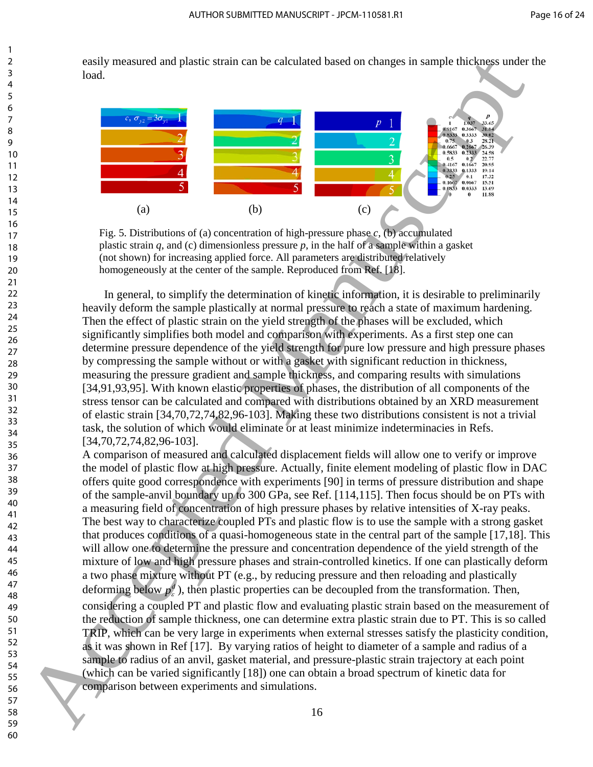easily measured and plastic strain can be calculated based on changes in sample thickness under the load.



Fig. 5. Distributions of (a) concentration of high-pressure phase *c*, (b) accumulated plastic strain *q*, and (c) dimensionless pressure *p*, in the half of a sample within a gasket (not shown) for increasing applied force. All parameters are distributed relatively homogeneously at the center of the sample. Reproduced from Ref. [18].

 In general, to simplify the determination of kinetic information, it is desirable to preliminarily heavily deform the sample plastically at normal pressure to reach a state of maximum hardening. Then the effect of plastic strain on the yield strength of the phases will be excluded, which significantly simplifies both model and comparison with experiments. As a first step one can determine pressure dependence of the yield strength for pure low pressure and high pressure phases by compressing the sample without or with a gasket with significant reduction in thickness, measuring the pressure gradient and sample thickness, and comparing results with simulations [34,91,93,95]. With known elastic properties of phases, the distribution of all components of the stress tensor can be calculated and compared with distributions obtained by an XRD measurement of elastic strain [34,70,72,74,82,96-103]. Making these two distributions consistent is not a trivial task, the solution of which would eliminate or at least minimize indeterminacies in Refs. [34,70,72,74,82,96-103]. Bead of the stress can be calculated boned on change in sample linkages under<br>
Bead of the stress of the stress of the stress of the stress of the stress of the stress of the stress of the stress of the stress of the stre

A comparison of measured and calculated displacement fields will allow one to verify or improve the model of plastic flow at high pressure. Actually, finite element modeling of plastic flow in DAC offers quite good correspondence with experiments [90] in terms of pressure distribution and shape of the sample-anvil boundary up to 300 GPa, see Ref. [114,115]. Then focus should be on PTs with a measuring field of concentration of high pressure phases by relative intensities of X-ray peaks. The best way to characterize coupled PTs and plastic flow is to use the sample with a strong gasket that produces conditions of a quasi-homogeneous state in the central part of the sample [17,18]. This will allow one to determine the pressure and concentration dependence of the yield strength of the mixture of low and high pressure phases and strain-controlled kinetics. If one can plastically deform a two phase mixture without PT (e.g., by reducing pressure and then reloading and plastically deforming below  $p_e^d$ ), then plastic properties can be decoupled from the transformation. Then,

considering a coupled PT and plastic flow and evaluating plastic strain based on the measurement of the reduction of sample thickness, one can determine extra plastic strain due to PT. This is so called TRIP, which can be very large in experiments when external stresses satisfy the plasticity condition, as it was shown in Ref [17]. By varying ratios of height to diameter of a sample and radius of a sample to radius of an anvil, gasket material, and pressure-plastic strain trajectory at each point (which can be varied significantly [18]) one can obtain a broad spectrum of kinetic data for comparison between experiments and simulations.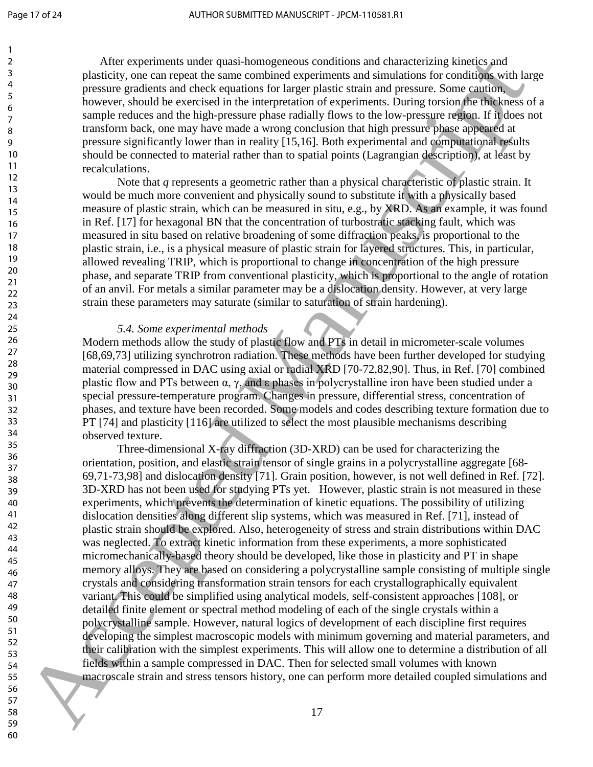After experiments under quasi-homogeneous conditions and characterizing kinetics and plasticity, one can repeat the same combined experiments and simulations for conditions with large pressure gradients and check equations for larger plastic strain and pressure. Some caution, however, should be exercised in the interpretation of experiments. During torsion the thickness of a sample reduces and the high-pressure phase radially flows to the low-pressure region. If it does not transform back, one may have made a wrong conclusion that high pressure phase appeared at pressure significantly lower than in reality [15,16]. Both experimental and computational results should be connected to material rather than to spatial points (Lagrangian description), at least by recalculations.

Note that *q* represents a geometric rather than a physical characteristic of plastic strain. It would be much more convenient and physically sound to substitute it with a physically based measure of plastic strain, which can be measured in situ, e.g., by XRD. As an example, it was found in Ref. [17] for hexagonal BN that the concentration of turbostratic stacking fault, which was measured in situ based on relative broadening of some diffraction peaks, is proportional to the plastic strain, i.e., is a physical measure of plastic strain for layered structures. This, in particular, allowed revealing TRIP, which is proportional to change in concentration of the high pressure phase, and separate TRIP from conventional plasticity, which is proportional to the angle of rotation of an anvil. For metals a similar parameter may be a dislocation density. However, at very large strain these parameters may saturate (similar to saturation of strain hardening).

#### *5.4. Some experimental methods*

Modern methods allow the study of plastic flow and PTs in detail in micrometer-scale volumes [68,69,73] utilizing synchrotron radiation. These methods have been further developed for studying material compressed in DAC using axial or radial XRD [70-72,82,90]. Thus, in Ref. [70] combined plastic flow and PTs between  $\alpha$ ,  $\gamma$ , and  $\epsilon$  phases in polycrystalline iron have been studied under a special pressure-temperature program. Changes in pressure, differential stress, concentration of phases, and texture have been recorded. Some models and codes describing texture formation due to PT [74] and plasticity [116] are utilized to select the most plausible mechanisms describing observed texture.

Three-dimensional X-ray diffraction (3D-XRD) can be used for characterizing the orientation, position, and elastic strain tensor of single grains in a polycrystalline aggregate [68- 69,71-73,98] and dislocation density [71]. Grain position, however, is not well defined in Ref. [72]. 3D-XRD has not been used for studying PTs yet. However, plastic strain is not measured in these experiments, which prevents the determination of kinetic equations. The possibility of utilizing dislocation densities along different slip systems, which was measured in Ref. [71], instead of plastic strain should be explored. Also, heterogeneity of stress and strain distributions within DAC was neglected. To extract kinetic information from these experiments, a more sophisticated micromechanically-based theory should be developed, like those in plasticity and PT in shape memory alloys. They are based on considering a polycrystalline sample consisting of multiple single crystals and considering transformation strain tensors for each crystallographically equivalent variant. This could be simplified using analytical models, self-consistent approaches [108], or detailed finite element or spectral method modeling of each of the single crystals within a polycrystalline sample. However, natural logics of development of each discipline first requires developing the simplest macroscopic models with minimum governing and material parameters, and their calibration with the simplest experiments. This will allow one to determine a distribution of all fields within a sample compressed in DAC. Then for selected small volumes with known macroscale strain and stress tensors history, one can perform more detailed coupled simulations and 24<br>
A correspondent that terms is some contribute and contribute and characterize interior and spectral<br>spectral control and spectral control and spectral control and spectral control and spectral control and spectral con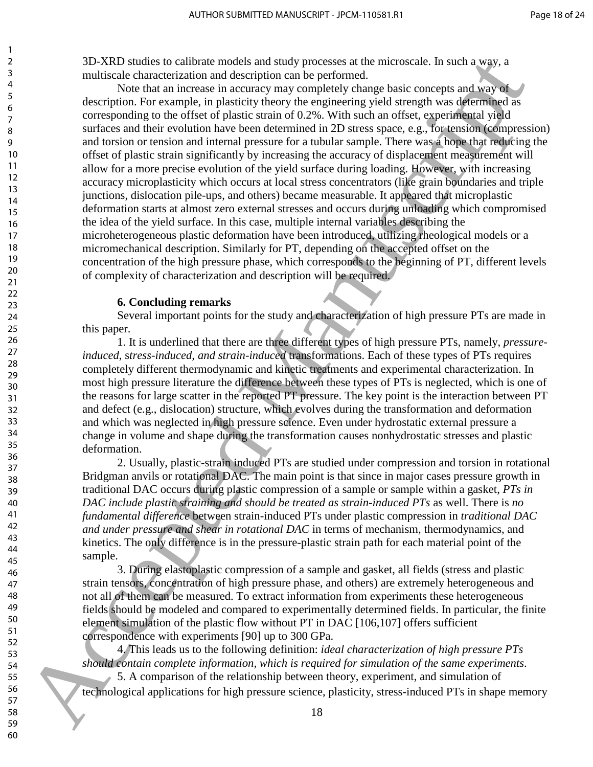3D-XRD studies to calibrate models and study processes at the microscale. In such a way, a multiscale characterization and description can be performed.

Note that an increase in accuracy may completely change basic concepts and way of description. For example, in plasticity theory the engineering yield strength was determined as corresponding to the offset of plastic strain of 0.2%. With such an offset, experimental yield surfaces and their evolution have been determined in 2D stress space, e.g., for tension (compression) and torsion or tension and internal pressure for a tubular sample. There was a hope that reducing the offset of plastic strain significantly by increasing the accuracy of displacement measurement will allow for a more precise evolution of the yield surface during loading. However, with increasing accuracy microplasticity which occurs at local stress concentrators (like grain boundaries and triple junctions, dislocation pile-ups, and others) became measurable. It appeared that microplastic deformation starts at almost zero external stresses and occurs during unloading which compromised the idea of the yield surface. In this case, multiple internal variables describing the microheterogeneous plastic deformation have been introduced, utilizing rheological models or a micromechanical description. Similarly for PT, depending on the accepted offset on the concentration of the high pressure phase, which corresponds to the beginning of PT, different levels of complexity of characterization and description will be required. 30 AND southern the minimal method manufacturing the minimal method manufacturing in the state of the minimal method manufacturing in the minimal method manufacturing in the state of the minimal method manufacturing in th

#### **6. Concluding remarks**

Several important points for the study and characterization of high pressure PTs are made in this paper.

1. It is underlined that there are three different types of high pressure PTs, namely, *pressureinduced*, s*tress-induced, and strain-induced* transformations. Each of these types of PTs requires completely different thermodynamic and kinetic treatments and experimental characterization. In most high pressure literature the difference between these types of PTs is neglected, which is one of the reasons for large scatter in the reported PT pressure. The key point is the interaction between PT and defect (e.g., dislocation) structure, which evolves during the transformation and deformation and which was neglected in high pressure science. Even under hydrostatic external pressure a change in volume and shape during the transformation causes nonhydrostatic stresses and plastic deformation.

2. Usually, plastic-strain induced PTs are studied under compression and torsion in rotational Bridgman anvils or rotational DAC. The main point is that since in major cases pressure growth in traditional DAC occurs during plastic compression of a sample or sample within a gasket, *PTs in DAC include plastic straining and should be treated as strain-induced PTs* as well. There is *no fundamental difference* between strain-induced PTs under plastic compression in *traditional DAC and under pressure and shear in rotational DAC* in terms of mechanism, thermodynamics, and kinetics. The only difference is in the pressure-plastic strain path for each material point of the sample.

3. During elastoplastic compression of a sample and gasket, all fields (stress and plastic strain tensors, concentration of high pressure phase, and others) are extremely heterogeneous and not all of them can be measured. To extract information from experiments these heterogeneous fields should be modeled and compared to experimentally determined fields. In particular, the finite element simulation of the plastic flow without PT in DAC [106,107] offers sufficient correspondence with experiments [90] up to 300 GPa.

4. This leads us to the following definition: *ideal characterization of high pressure PTs should contain complete information, which is required for simulation of the same experiments*.

5. A comparison of the relationship between theory, experiment, and simulation of technological applications for high pressure science, plasticity, stress-induced PTs in shape memory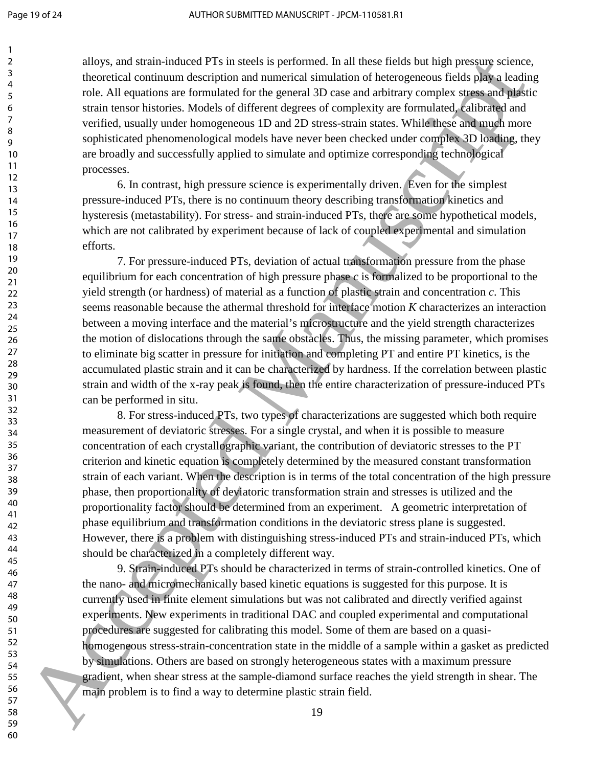alloys, and strain-induced PTs in steels is performed. In all these fields but high pressure science, theoretical continuum description and numerical simulation of heterogeneous fields play a leading role. All equations are formulated for the general 3D case and arbitrary complex stress and plastic strain tensor histories. Models of different degrees of complexity are formulated, calibrated and verified, usually under homogeneous 1D and 2D stress-strain states. While these and much more sophisticated phenomenological models have never been checked under complex 3D loading, they are broadly and successfully applied to simulate and optimize corresponding technological processes.

6. In contrast, high pressure science is experimentally driven. Even for the simplest pressure-induced PTs, there is no continuum theory describing transformation kinetics and hysteresis (metastability). For stress- and strain-induced PTs, there are some hypothetical models, which are not calibrated by experiment because of lack of coupled experimental and simulation efforts.

7. For pressure-induced PTs, deviation of actual transformation pressure from the phase equilibrium for each concentration of high pressure phase *c* is formalized to be proportional to the yield strength (or hardness) of material as a function of plastic strain and concentration *c*. This seems reasonable because the athermal threshold for interface motion *K* characterizes an interaction between a moving interface and the material's microstructure and the yield strength characterizes the motion of dislocations through the same obstacles. Thus, the missing parameter, which promises to eliminate big scatter in pressure for initiation and completing PT and entire PT kinetics, is the accumulated plastic strain and it can be characterized by hardness. If the correlation between plastic strain and width of the x-ray peak is found, then the entire characterization of pressure-induced PTs can be performed in situ. 49 and structure HPs is series by performed, in all these by independent and the state in the state in the state in the state in the state in the state in the state in the state in the state in the state in the state in

8. For stress-induced PTs, two types of characterizations are suggested which both require measurement of deviatoric stresses. For a single crystal, and when it is possible to measure concentration of each crystallographic variant, the contribution of deviatoric stresses to the PT criterion and kinetic equation is completely determined by the measured constant transformation strain of each variant. When the description is in terms of the total concentration of the high pressure phase, then proportionality of deviatoric transformation strain and stresses is utilized and the proportionality factor should be determined from an experiment. A geometric interpretation of phase equilibrium and transformation conditions in the deviatoric stress plane is suggested. However, there is a problem with distinguishing stress-induced PTs and strain-induced PTs, which should be characterized in a completely different way.

9. Strain-induced PTs should be characterized in terms of strain-controlled kinetics. One of the nano- and micromechanically based kinetic equations is suggested for this purpose. It is currently used in finite element simulations but was not calibrated and directly verified against experiments. New experiments in traditional DAC and coupled experimental and computational procedures are suggested for calibrating this model. Some of them are based on a quasihomogeneous stress-strain-concentration state in the middle of a sample within a gasket as predicted by simulations. Others are based on strongly heterogeneous states with a maximum pressure gradient, when shear stress at the sample-diamond surface reaches the yield strength in shear. The main problem is to find a way to determine plastic strain field.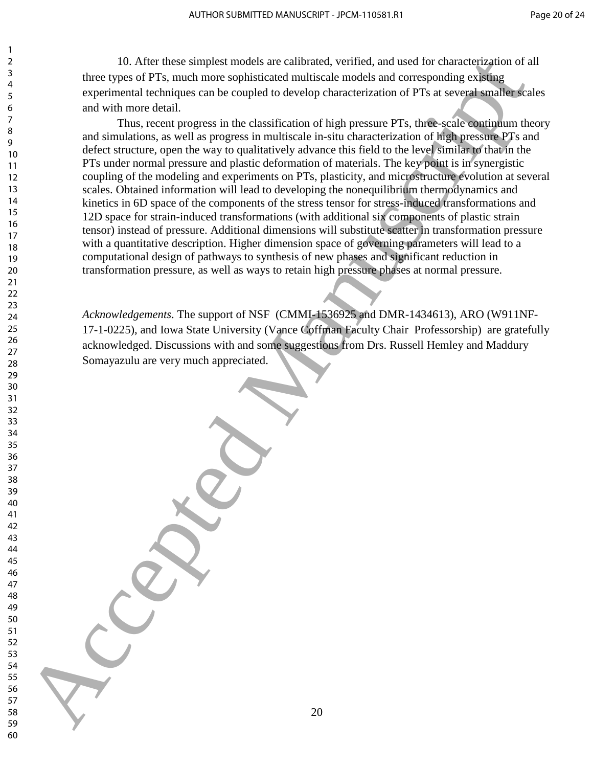10. After these simplest models are calibrated, verified, and used for characterization of all three types of PTs, much more sophisticated multiscale models and corresponding existing experimental techniques can be coupled to develop characterization of PTs at several smaller scales and with more detail.

Thus, recent progress in the classification of high pressure PTs, three-scale continuum theory and simulations, as well as progress in multiscale in-situ characterization of high pressure PTs and defect structure, open the way to qualitatively advance this field to the level similar to that in the PTs under normal pressure and plastic deformation of materials. The key point is in synergistic coupling of the modeling and experiments on PTs, plasticity, and microstructure evolution at several scales. Obtained information will lead to developing the nonequilibrium thermodynamics and kinetics in 6D space of the components of the stress tensor for stress-induced transformations and 12D space for strain-induced transformations (with additional six components of plastic strain tensor) instead of pressure. Additional dimensions will substitute scatter in transformation pressure with a quantitative description. Higher dimension space of governing parameters will lead to a computational design of pathways to synthesis of new phases and significant reduction in transformation pressure, as well as ways to retain high pressure phases at normal pressure. 2 (a) After these varieties are completed matching the series of effects, and the dust of entirelying of the complete can be completed of develop changes that are complete can be completed to develop changes and with more

*Acknowledgements*. The support of NSF (CMMI-1536925 and DMR-1434613), ARO (W911NF-17-1-0225), and Iowa State University (Vance Coffman Faculty Chair Professorship) are gratefully acknowledged. Discussions with and some suggestions from Drs. Russell Hemley and Maddury Somayazulu are very much appreciated.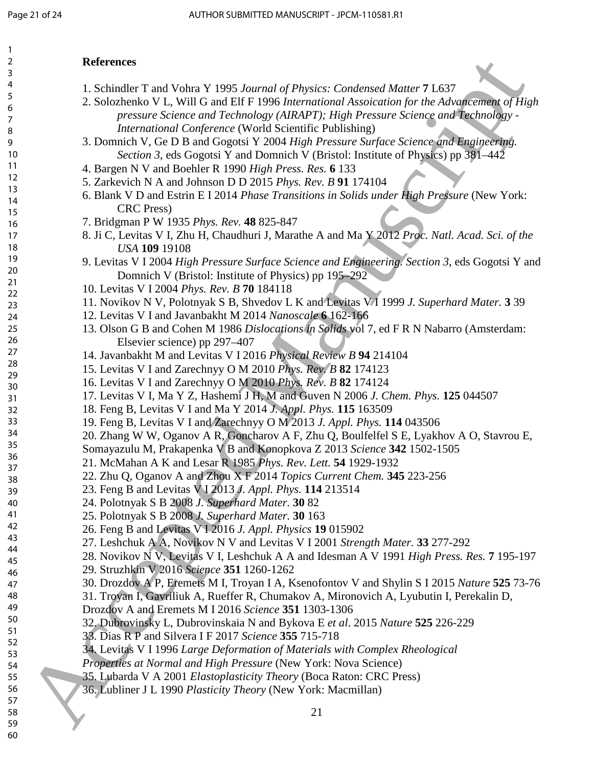#### 2 3 4 5 6 7 8 9 10 11 12 13 14 15 16 17 18 19 20 21 22 23 24 25 26 27 28 29 30 31 32 33 34 35 36 37 38 39 40 41 42 43 44 45 46 47 48 49 50 51 52 53 54 55 56 57 58

59

### **References**

- <span id="page-21-1"></span><span id="page-21-0"></span>1. Schindler T and Vohra Y 1995 *Journal of Physics: Condensed Matter* **7** L637
- 2. Solozhenko V L, Will G and Elf F 1996 *International Assoication for the Advancement of High pressure Science and Technology (AIRAPT); High Pressure Science and Technology - International Conference* (World Scientific Publishing) **24 Extraction:** The United Vigital Accepted Manuscript (1998) 2.5 <br>
1. Science David Control of Pancisco Condense Material Accepted Manuscript (1998)<br>
2. Science Manuscript (1998) 2. Science Operation: The Condense Man
	- 3. Domnich V, Ge D B and Gogotsi Y 2004 *High Pressure Surface Science and Engineering. Section 3*, eds Gogotsi Y and Domnich V (Bristol: Institute of Physics) pp 381–442
	- 4. Bargen N V and Boehler R 1990 *High Press. Res.* **6** 133
	- 5. Zarkevich N A and Johnson D D 2015 *Phys. Rev. B* **91** 174104
	- 6. Blank V D and Estrin E I 2014 *Phase Transitions in Solids under High Pressure* (New York: CRC Press)
	- 7. Bridgman P W 1935 *Phys. Rev.* **48** 825-847
	- 8. Ji C, Levitas V I, Zhu H, Chaudhuri J, Marathe A and Ma Y 2012 *Proc. Natl. Acad. Sci. of the USA* **109** 19108
	- 9. Levitas V I 2004 *High Pressure Surface Science and Engineering. Section 3*, eds Gogotsi Y and Domnich V (Bristol: Institute of Physics) pp 195–292
	- 10. Levitas V I 2004 *Phys. Rev. B* **70** 184118
	- 11. Novikov N V, Polotnyak S B, Shvedov L K and Levitas V I 1999 *J. Superhard Mater.* **3** 39
	- 12. Levitas V I and Javanbakht M 2014 *Nanoscale* **6** 162-166
		- 13. Olson G B and Cohen M 1986 *Dislocations in Solids* vol 7, ed F R N Nabarro (Amsterdam: Elsevier science) pp 297–407
		- 14. Javanbakht M and Levitas V I 2016 *Physical Review B* **94** 214104
	- 15. Levitas V I and Zarechnyy O M 2010 *Phys. Rev. B* **82** 174123
	- 16. Levitas V I and Zarechnyy O M 2010 *Phys. Rev. B* **82** 174124
	- 17. Levitas V I, Ma Y Z, Hashemi J H, M and Guven N 2006 *J. Chem. Phys.* **125** 044507
	- 18. Feng B, Levitas V I and Ma Y 2014 *J. Appl. Phys.* **115** 163509
	- 19. Feng B, Levitas V I and Zarechnyy O M 2013 *J. Appl. Phys.* **114** 043506
	- 20. Zhang W W, Oganov A R, Goncharov A F, Zhu Q, Boulfelfel S E, Lyakhov A O, Stavrou E,
	- Somayazulu M, Prakapenka V B and Konopkova Z 2013 *Science* **342** 1502-1505
	- 21. McMahan A K and Lesar R 1985 *Phys. Rev. Lett.* **54** 1929-1932
	- 22. Zhu Q, Oganov A and Zhou X F 2014 *Topics Current Chem.* **345** 223-256
	- 23. Feng B and Levitas V I 2013 *J. Appl. Phys.* **114** 213514
	- 24. Polotnyak S B 2008 *J. Superhard Mater.* **30** 82
	- 25. Polotnyak S B 2008 *J. Superhard Mater.* **30** 163
	- 26. Feng B and Levitas V I 2016 *J. Appl. Physics* **19** 015902
	- 27. Leshchuk A A, Novikov N V and Levitas V I 2001 *Strength Mater.* **33** 277-292
	- 28. Novikov N V, Levitas V I, Leshchuk A A and Idesman A V 1991 *High Press. Res.* **7** 195-197
	- 29. Struzhkin V 2016 *Science* **351** 1260-1262
	- 30. Drozdov A P, Eremets M I, Troyan I A, Ksenofontov V and Shylin S I 2015 *Nature* **525** 73-76
	- 31. Troyan I, Gavriliuk A, Rueffer R, Chumakov A, Mironovich A, Lyubutin I, Perekalin D,
		- Drozdov A and Eremets M I 2016 *Science* **351** 1303-1306
		- 32. Dubrovinsky L, Dubrovinskaia N and Bykova E *et al*. 2015 *Nature* **525** 226-229
		- 33. Dias R P and Silvera I F 2017 *Science* **355** 715-718
		- 34. Levitas V I 1996 *Large Deformation of Materials with Complex Rheological*
		- *Properties at Normal and High Pressure* (New York: Nova Science)
		- 35. Lubarda V A 2001 *Elastoplasticity Theory* (Boca Raton: CRC Press)
		- 36. Lubliner J L 1990 *Plasticity Theory* (New York: Macmillan)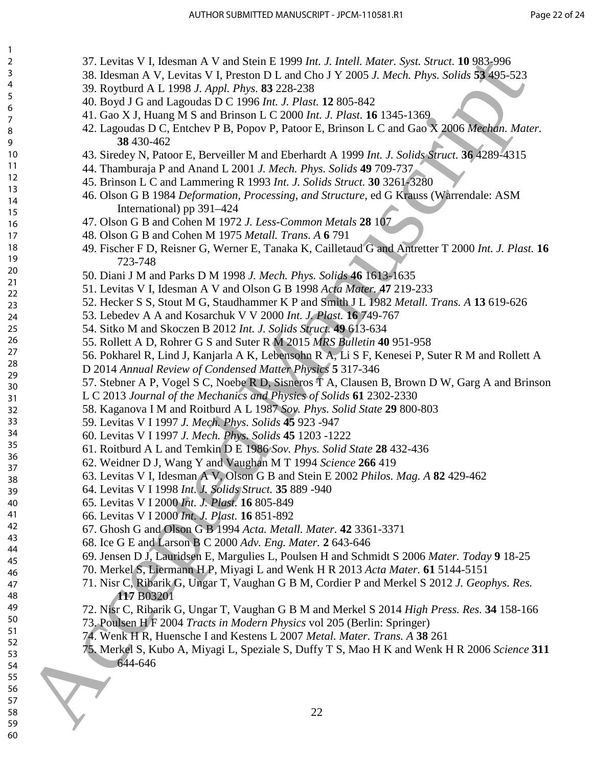- 37. Levitas V I, Idesman A V and Stein E 1999 *Int. J. Intell. Mater. Syst. Struct.* **10** 983-996
- 38. Idesman A V, Levitas V I, Preston D L and Cho J Y 2005 *J. Mech. Phys. Solids* **53** 495-523
- 39. Roytburd A L 1998 *J. Appl. Phys.* **83** 228-238

- 40. Boyd J G and Lagoudas D C 1996 *Int. J. Plast.* **12** 805-842
- 41. Gao X J, Huang M S and Brinson L C 2000 *Int. J. Plast.* **16** 1345-1369
- 42. Lagoudas D C, Entchev P B, Popov P, Patoor E, Brinson L C and Gao X 2006 *Mechan. Mater.* **38** 430-462
- 43. Siredey N, Patoor E, Berveiller M and Eberhardt A 1999 *Int. J. Solids Struct.* **36** 4289-4315
- 44. Thamburaja P and Anand L 2001 *J. Mech. Phys. Solids* **49** 709-737
- 45. Brinson L C and Lammering R 1993 *Int. J. Solids Struct.* **30** 3261-3280
- 46. Olson G B 1984 *Deformation, Processing, and Structure*, ed G Krauss (Warrendale: ASM International) pp 391–424
- 47. Olson G B and Cohen M 1972 *J. Less-Common Metals* **28** 107
- 48. Olson G B and Cohen M 1975 *Metall. Trans. A* **6** 791
- 49. Fischer F D, Reisner G, Werner E, Tanaka K, Cailletaud G and Antretter T 2000 *Int. J. Plast.* **16** 723-748
- 50. Diani J M and Parks D M 1998 *J. Mech. Phys. Solids* **46** 1613-1635
- 51. Levitas V I, Idesman A V and Olson G B 1998 *Acta Mater.* **47** 219-233
- 52. Hecker S S, Stout M G, Staudhammer K P and Smith J L 1982 *Metall. Trans. A* **13** 619-626
- 53. Lebedev A A and Kosarchuk V V 2000 *Int. J. Plast.* **16** 749-767
- 54. Sitko M and Skoczen B 2012 *Int. J. Solids Struct.* **49** 613-634
- 55. Rollett A D, Rohrer G S and Suter R M 2015 *MRS Bulletin* **40** 951-958
- 56. Pokharel R, Lind J, Kanjarla A K, Lebensohn R A, Li S F, Kenesei P, Suter R M and Rollett A
- D 2014 *Annual Review of Condensed Matter Physics* **5** 317-346
- 57. Stebner A P, Vogel S C, Noebe R D, Sisneros T A, Clausen B, Brown D W, Garg A and Brinson
- L C 2013 *Journal of the Mechanics and Physics of Solids* **61** 2302-2330
- 58. Kaganova I M and Roitburd A L 1987 *Sov. Phys. Solid State* **29** 800-803
- 59. Levitas V I 1997 *J. Mech. Phys. Solids* **45** 923 -947
- 60. Levitas V I 1997 *J. Mech. Phys. Solids* **45** 1203 -1222
- 61. Roitburd A L and Temkin D E 1986 *Sov. Phys. Solid State* **28** 432-436
- 62. Weidner D J, Wang Y and Vaughan M T 1994 *Science* **266** 419
- 63. Levitas V I, Idesman A V, Olson G B and Stein E 2002 *Philos. Mag. A* **82** 429-462
- 64. Levitas V I 1998 *Int. J. Solids Struct.* **35** 889 -940
- 65. Levitas V I 2000 *Int. J. Plast.* **16** 805-849
- 66. Levitas V I 2000 *Int. J. Plast.* **16** 851-892
- 67. Ghosh G and Olson G B 1994 *Acta. Metall. Mater.* **42** 3361-3371
- 68. Ice G E and Larson B C 2000 *Adv. Eng. Mater.* **2** 643-646
- 69. Jensen D J, Lauridsen E, Margulies L, Poulsen H and Schmidt S 2006 *Mater. Today* **9** 18-25
- 70. Merkel S, Liermann H P, Miyagi L and Wenk H R 2013 *Acta Mater.* **61** 5144-5151
- 71. Nisr C, Ribarik G, Ungar T, Vaughan G B M, Cordier P and Merkel S 2012 *J. Geophys. Res.* **117** B03201 32. Heritage VI, Luissian A V Lewin Stern i 1900 for *Lines* Manuscript Stern 10 Stern 10 Accepted Manuscript Stern 10 Accepted Manuscript Stern 10 Accepted Manuscript Stern 10 Accepted Manuscript And Stern 10 Accepted M
	- 72. Nisr C, Ribarik G, Ungar T, Vaughan G B M and Merkel S 2014 *High Press. Res.* **34** 158-166
	- 73. Poulsen H F 2004 *Tracts in Modern Physics* vol 205 (Berlin: Springer)
	- 74. Wenk H R, Huensche I and Kestens L 2007 *Metal. Mater. Trans. A* **38** 261
	- 75. Merkel S, Kubo A, Miyagi L, Speziale S, Duffy T S, Mao H K and Wenk H R 2006 *Science* **311** 644-646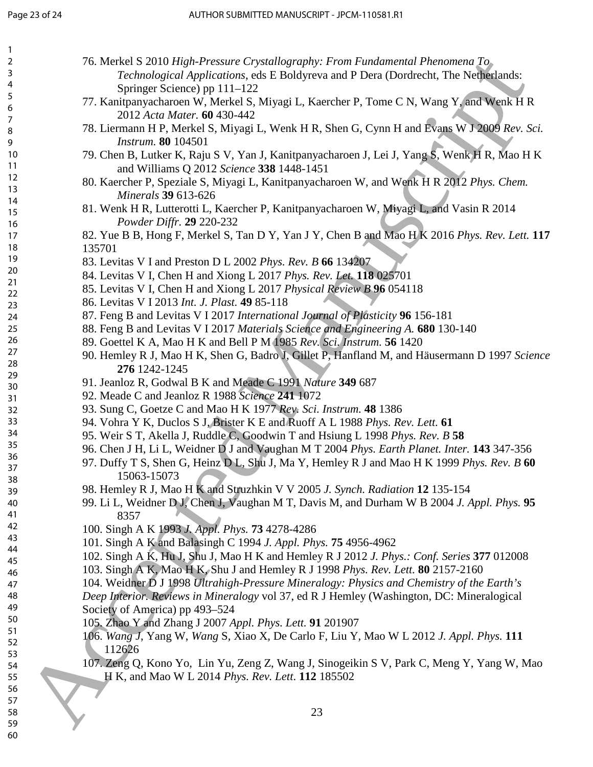| $\overline{2}$<br>$\mathsf 3$ | 76. Merkel S 2010 High-Pressure Crystallography: From Fundamental Phenomena To                |
|-------------------------------|-----------------------------------------------------------------------------------------------|
| 4                             | Technological Applications, eds E Boldyreva and P Dera (Dordrecht, The Netherlands:           |
| 5                             | Springer Science) pp 111–122                                                                  |
| 6                             | 77. Kanitpanyacharoen W, Merkel S, Miyagi L, Kaercher P, Tome C N, Wang Y, and Wenk H R       |
| 7                             | 2012 Acta Mater. 60 430-442                                                                   |
| 8                             | 78. Liermann H P, Merkel S, Miyagi L, Wenk H R, Shen G, Cynn H and Evans W J 2009 Rev. Sci.   |
| 9                             | Instrum. 80 104501                                                                            |
| 10                            | 79. Chen B, Lutker K, Raju S V, Yan J, Kanitpanyacharoen J, Lei J, Yang S, Wenk H R, Mao H K  |
| 11<br>12                      | and Williams Q 2012 Science 338 1448-1451                                                     |
| 13                            | 80. Kaercher P, Speziale S, Miyagi L, Kanitpanyacharoen W, and Wenk H R 2012 Phys. Chem.      |
| 14                            | Minerals 39 613-626                                                                           |
| 15                            | 81. Wenk H R, Lutterotti L, Kaercher P, Kanitpanyacharoen W, Miyagi L, and Vasin R 2014       |
| 16                            | Powder Diffr. 29 220-232                                                                      |
| 17                            | 82. Yue B B, Hong F, Merkel S, Tan D Y, Yan J Y, Chen B and Mao H K 2016 Phys. Rev. Lett. 117 |
| 18                            | 135701                                                                                        |
| 19<br>20                      | 83. Levitas V I and Preston D L 2002 Phys. Rev. B 66 134207                                   |
| 21                            | 84. Levitas V I, Chen H and Xiong L 2017 Phys. Rev. Let. 118 025701                           |
| 22                            | 85. Levitas V I, Chen H and Xiong L 2017 Physical Review B 96 054118                          |
| 23                            | 86. Levitas V I 2013 Int. J. Plast. 49 85-118                                                 |
| 24                            | 87. Feng B and Levitas V I 2017 International Journal of Plasticity 96 156-181                |
| 25                            | 88. Feng B and Levitas V I 2017 Materials Science and Engineering A. 680 130-140              |
| 26                            | 89. Goettel K A, Mao H K and Bell P M 1985 Rev. Sci. Instrum. 56 1420                         |
| 27<br>28                      | 90. Hemley R J, Mao H K, Shen G, Badro J, Gillet P, Hanfland M, and Häusermann D 1997 Science |
| 29                            | 276 1242-1245                                                                                 |
| 30                            | 91. Jeanloz R, Godwal B K and Meade C 1991 Nature 349 687                                     |
| 31                            | 92. Meade C and Jeanloz R 1988 Science 241 1072                                               |
| 32                            | 93. Sung C, Goetze C and Mao H K 1977 Rev. Sci. Instrum. 48 1386                              |
| 33                            | 94. Vohra Y K, Duclos S J, Brister K E and Ruoff A L 1988 Phys. Rev. Lett. 61                 |
| 34                            | 95. Weir S T, Akella J, Ruddle C, Goodwin T and Hsiung L 1998 Phys. Rev. B 58                 |
| 35<br>36                      | 96. Chen J H, Li L, Weidner D J and Vaughan M T 2004 Phys. Earth Planet. Inter. 143 347-356   |
| 37                            | 97. Duffy T S, Shen G, Heinz D L, Shu J, Ma Y, Hemley R J and Mao H K 1999 Phys. Rev. B 60    |
| 38                            | 15063-15073                                                                                   |
| 39                            | 98. Hemley R J, Mao H K and Struzhkin V V 2005 J. Synch. Radiation 12 135-154                 |
| 40                            | 99. Li L, Weidner D J, Chen J, Vaughan M T, Davis M, and Durham W B 2004 J. Appl. Phys. 95    |
| 41                            | 8357                                                                                          |
| 42                            | 100. Singh A K 1993 J. Appl. Phys. 73 4278-4286                                               |
| 43<br>44                      | 101. Singh A K and Balasingh C 1994 J. Appl. Phys. 75 4956-4962                               |
| 45                            | 102. Singh A K, Hu J, Shu J, Mao H K and Hemley R J 2012 J. Phys.: Conf. Series 377 012008    |
| 46                            | 103. Singh A K, Mao H K, Shu J and Hemley R J 1998 Phys. Rev. Lett. 80 2157-2160              |
| 47                            | 104. Weidner D J 1998 Ultrahigh-Pressure Mineralogy: Physics and Chemistry of the Earth's     |
| 48                            | Deep Interior. Reviews in Mineralogy vol 37, ed R J Hemley (Washington, DC: Mineralogical     |
| 49                            | Society of America) pp 493–524                                                                |
| 50                            | 105. Zhao Y and Zhang J 2007 Appl. Phys. Lett. 91 201907                                      |
| 51<br>52                      | 106. Wang J, Yang W, Wang S, Xiao X, De Carlo F, Liu Y, Mao W L 2012 J. Appl. Phys. 111       |
| 53                            | 112626                                                                                        |
| 54                            | 107. Zeng Q, Kono Yo, Lin Yu, Zeng Z, Wang J, Sinogeikin S V, Park C, Meng Y, Yang W, Mao     |
| 55                            | H K, and Mao W L 2014 Phys. Rev. Lett. 112 185502                                             |
| 56                            |                                                                                               |
| 57                            |                                                                                               |
| 58<br>59                      | 23                                                                                            |
| 60                            |                                                                                               |
|                               |                                                                                               |